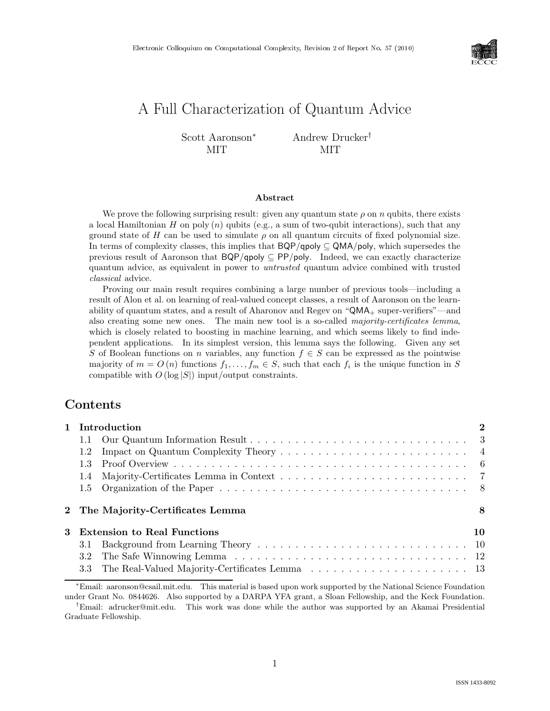

# A Full Characterization of Quantum Advice

Scott Aaronson<sup>∗</sup> MIT Andrew Drucker† MIT

### Abstract

We prove the following surprising result: given any quantum state  $\rho$  on  $n$  qubits, there exists a local Hamiltonian H on poly  $(n)$  qubits (e.g., a sum of two-qubit interactions), such that any ground state of H can be used to simulate  $\rho$  on all quantum circuits of fixed polynomial size. In terms of complexity classes, this implies that  $BQP/q$ poly ⊆ QMA/poly, which supersedes the previous result of Aaronson that  $BQP/qpoly \subseteq PP/poly$ . Indeed, we can exactly characterize quantum advice, as equivalent in power to untrusted quantum advice combined with trusted classical advice.

Proving our main result requires combining a large number of previous tools—including a result of Alon et al. on learning of real-valued concept classes, a result of Aaronson on the learnability of quantum states, and a result of Aharonov and Regev on " $QMA_+$  super-verifiers"—and also creating some new ones. The main new tool is a so-called majority-certificates lemma, which is closely related to boosting in machine learning, and which seems likely to find independent applications. In its simplest version, this lemma says the following. Given any set S of Boolean functions on n variables, any function  $f \in S$  can be expressed as the pointwise majority of  $m = O(n)$  functions  $f_1, \ldots, f_m \in S$ , such that each  $f_i$  is the unique function in S compatible with  $O(\log |S|)$  input/output constraints.

# Contents

|   |     | 1 Introduction                    | $\mathbf{2}$ |
|---|-----|-----------------------------------|--------------|
|   | 1.1 |                                   |              |
|   | 1.2 |                                   |              |
|   | 1.3 |                                   |              |
|   | 1.4 |                                   |              |
|   |     |                                   |              |
|   |     | 2 The Majority-Certificates Lemma | 8            |
|   |     |                                   |              |
|   |     | Extension to Real Functions       | 10           |
| 3 | 3.1 |                                   |              |
|   | 3.2 |                                   |              |

<sup>∗</sup>Email: aaronson@csail.mit.edu. This material is based upon work supported by the National Science Foundation under Grant No. 0844626. Also supported by a DARPA YFA grant, a Sloan Fellowship, and the Keck Foundation.

†Email: adrucker@mit.edu. This work was done while the author was supported by an Akamai Presidential Graduate Fellowship.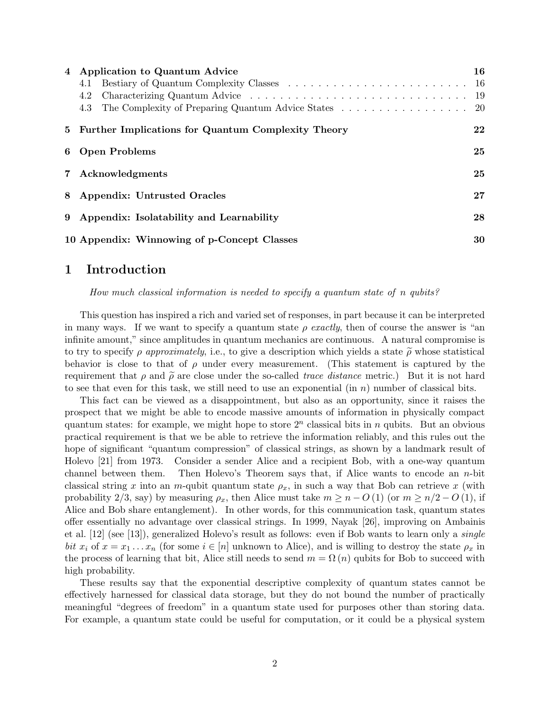| 4 | Application to Quantum Advice                        | 16 |
|---|------------------------------------------------------|----|
|   | 4.1                                                  |    |
|   | 4.2                                                  |    |
|   | 4.3                                                  |    |
|   | 5 Further Implications for Quantum Complexity Theory | 22 |
|   | 6 Open Problems                                      | 25 |
|   | 7 Acknowledgments                                    | 25 |
|   | 8 Appendix: Untrusted Oracles                        | 27 |
|   | 9 Appendix: Isolatability and Learnability           | 28 |
|   | 10 Appendix: Winnowing of p-Concept Classes          | 30 |

## 1 Introduction

How much classical information is needed to specify a quantum state of n qubits?

This question has inspired a rich and varied set of responses, in part because it can be interpreted in many ways. If we want to specify a quantum state  $\rho$  exactly, then of course the answer is "an infinite amount," since amplitudes in quantum mechanics are continuous. A natural compromise is to try to specify  $\rho$  approximately, i.e., to give a description which yields a state  $\tilde{\rho}$  whose statistical behavior is close to that of  $\rho$  under every measurement. (This statement is captured by the requirement that  $\rho$  and  $\tilde{\rho}$  are close under the so-called *trace distance* metric.) But it is not hard to see that even for this task, we still need to use an exponential  $(\text{in } n)$  number of classical bits.

This fact can be viewed as a disappointment, but also as an opportunity, since it raises the prospect that we might be able to encode massive amounts of information in physically compact quantum states: for example, we might hope to store  $2^n$  classical bits in n qubits. But an obvious practical requirement is that we be able to retrieve the information reliably, and this rules out the hope of significant "quantum compression" of classical strings, as shown by a landmark result of Holevo [21] from 1973. Consider a sender Alice and a recipient Bob, with a one-way quantum channel between them. Then Holevo's Theorem says that, if Alice wants to encode an n-bit classical string x into an m-qubit quantum state  $\rho_x$ , in such a way that Bob can retrieve x (with probability 2/3, say) by measuring  $\rho_x$ , then Alice must take  $m \geq n - O(1)$  (or  $m \geq n/2 - O(1)$ , if Alice and Bob share entanglement). In other words, for this communication task, quantum states offer essentially no advantage over classical strings. In 1999, Nayak [26], improving on Ambainis et al. [12] (see [13]), generalized Holevo's result as follows: even if Bob wants to learn only a single bit  $x_i$  of  $x = x_1 \ldots x_n$  (for some  $i \in [n]$  unknown to Alice), and is willing to destroy the state  $\rho_x$  in the process of learning that bit, Alice still needs to send  $m = \Omega(n)$  qubits for Bob to succeed with high probability.

These results say that the exponential descriptive complexity of quantum states cannot be effectively harnessed for classical data storage, but they do not bound the number of practically meaningful "degrees of freedom" in a quantum state used for purposes other than storing data. For example, a quantum state could be useful for computation, or it could be a physical system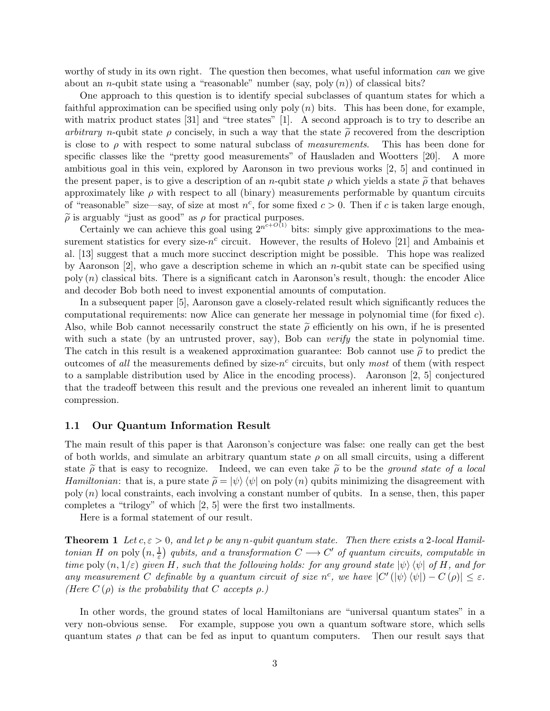worthy of study in its own right. The question then becomes, what useful information can we give about an *n*-qubit state using a "reasonable" number (say, poly  $(n)$ ) of classical bits?

One approach to this question is to identify special subclasses of quantum states for which a faithful approximation can be specified using only poly  $(n)$  bits. This has been done, for example, with matrix product states [31] and "tree states" [1]. A second approach is to try to describe an arbitrary n-qubit state  $\rho$  concisely, in such a way that the state  $\tilde{\rho}$  recovered from the description is close to  $\rho$  with respect to some natural subclass of *measurements*. This has been done for is close to  $\rho$  with respect to some natural subclass of *measurements*. specific classes like the "pretty good measurements" of Hausladen and Wootters [20]. A more ambitious goal in this vein, explored by Aaronson in two previous works [2, 5] and continued in the present paper, is to give a description of an n-qubit state  $\rho$  which yields a state  $\tilde{\rho}$  that behaves approximately like  $\rho$  with respect to all (binary) measurements performable by quantum circuits of "reasonable" size—say, of size at most  $n^c$ , for some fixed  $c > 0$ . Then if c is taken large enough,  $\tilde{\rho}$  is arguably "just as good" as  $\rho$  for practical purposes.

Certainly we can achieve this goal using  $2^{n^{c+O(1)}}$  bits: simply give approximations to the measurement statistics for every size- $n^c$  circuit. However, the results of Holevo [21] and Ambainis et al. [13] suggest that a much more succinct description might be possible. This hope was realized by Aaronson  $[2]$ , who gave a description scheme in which an *n*-qubit state can be specified using poly  $(n)$  classical bits. There is a significant catch in Aaronson's result, though: the encoder Alice and decoder Bob both need to invest exponential amounts of computation.

In a subsequent paper [5], Aaronson gave a closely-related result which significantly reduces the computational requirements: now Alice can generate her message in polynomial time (for fixed c). Also, while Bob cannot necessarily construct the state  $\tilde{\rho}$  efficiently on his own, if he is presented with such a state (by an untrusted prover, say), Bob can *verify* the state in polynomial time. The catch in this result is a weakened approximation guarantee: Bob cannot use  $\tilde{\rho}$  to predict the outcomes of all the measurements defined by size- $n^c$  circuits, but only most of them (with respect to a samplable distribution used by Alice in the encoding process). Aaronson [2, 5] conjectured that the tradeoff between this result and the previous one revealed an inherent limit to quantum compression.

### 1.1 Our Quantum Information Result

The main result of this paper is that Aaronson's conjecture was false: one really can get the best of both worlds, and simulate an arbitrary quantum state  $\rho$  on all small circuits, using a different state  $\tilde{\rho}$  that is easy to recognize. Indeed, we can even take  $\tilde{\rho}$  to be the ground state of a local Hamiltonian: that is, a pure state  $\tilde{\rho} = |\psi\rangle \langle \psi|$  on poly (n) qubits minimizing the disagreement with poly  $(n)$  local constraints, each involving a constant number of qubits. In a sense, then, this paper completes a "trilogy" of which [2, 5] were the first two installments.

Here is a formal statement of our result.

**Theorem 1** Let  $c, \varepsilon > 0$ , and let  $\rho$  be any n-qubit quantum state. Then there exists a 2-local Hamiltonian H on poly  $(n, \frac{1}{\varepsilon})$  qubits, and a transformation  $C \longrightarrow C'$  of quantum circuits, computable in time poly  $(n, 1/\varepsilon)$  given H, such that the following holds: for any ground state  $|\psi\rangle \langle \psi|$  of H, and for any measurement C definable by a quantum circuit of size n<sup>c</sup>, we have  $|C'(\ket{\psi}\bra{\psi}) - C(\rho)| \leq \varepsilon$ . (Here  $C(\rho)$  is the probability that C accepts  $\rho$ .)

In other words, the ground states of local Hamiltonians are "universal quantum states" in a very non-obvious sense. For example, suppose you own a quantum software store, which sells quantum states  $\rho$  that can be fed as input to quantum computers. Then our result says that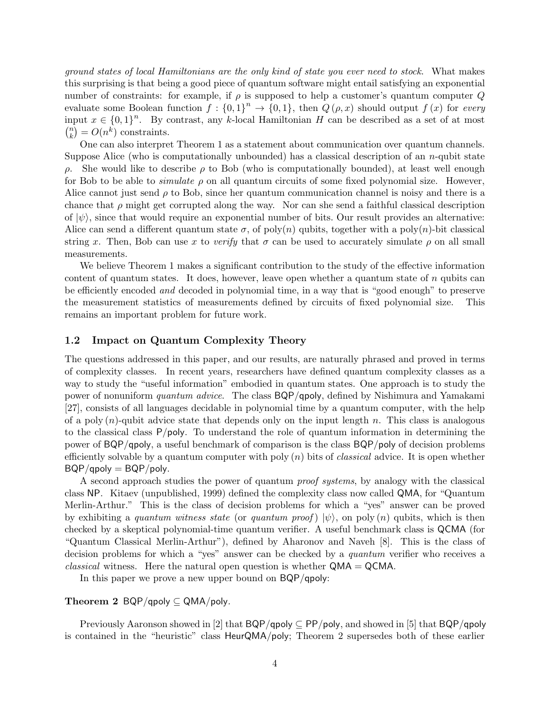ground states of local Hamiltonians are the only kind of state you ever need to stock. What makes this surprising is that being a good piece of quantum software might entail satisfying an exponential number of constraints: for example, if  $\rho$  is supposed to help a customer's quantum computer  $Q$ evaluate some Boolean function  $f: \{0,1\}^n \to \{0,1\}$ , then  $Q(\rho, x)$  should output  $f(x)$  for every input  $x \in \{0,1\}^n$ . By contrast, any k-local Hamiltonian H can be described as a set of at most  $\binom{n}{k} = O(n^k)$  constraints.

One can also interpret Theorem 1 as a statement about communication over quantum channels. Suppose Alice (who is computationally unbounded) has a classical description of an  $n$ -qubit state ρ. She would like to describe ρ to Bob (who is computationally bounded), at least well enough for Bob to be able to *simulate*  $\rho$  on all quantum circuits of some fixed polynomial size. However, Alice cannot just send  $\rho$  to Bob, since her quantum communication channel is noisy and there is a chance that  $\rho$  might get corrupted along the way. Nor can she send a faithful classical description of  $|\psi\rangle$ , since that would require an exponential number of bits. Our result provides an alternative: Alice can send a different quantum state  $\sigma$ , of poly(n) qubits, together with a poly(n)-bit classical string x. Then, Bob can use x to verify that  $\sigma$  can be used to accurately simulate  $\rho$  on all small measurements.

We believe Theorem 1 makes a significant contribution to the study of the effective information content of quantum states. It does, however, leave open whether a quantum state of  $n$  qubits can be efficiently encoded and decoded in polynomial time, in a way that is "good enough" to preserve the measurement statistics of measurements defined by circuits of fixed polynomial size. This remains an important problem for future work.

### 1.2 Impact on Quantum Complexity Theory

The questions addressed in this paper, and our results, are naturally phrased and proved in terms of complexity classes. In recent years, researchers have defined quantum complexity classes as a way to study the "useful information" embodied in quantum states. One approach is to study the power of nonuniform quantum advice. The class BQP/qpoly, defined by Nishimura and Yamakami [27], consists of all languages decidable in polynomial time by a quantum computer, with the help of a poly  $(n)$ -qubit advice state that depends only on the input length n. This class is analogous to the classical class  $P/poly$ . To understand the role of quantum information in determining the power of BQP/qpoly, a useful benchmark of comparison is the class BQP/poly of decision problems efficiently solvable by a quantum computer with poly  $(n)$  bits of *classical* advice. It is open whether  $BQP$ /qpoly =  $BQP$ /poly.

A second approach studies the power of quantum proof systems, by analogy with the classical class NP. Kitaev (unpublished, 1999) defined the complexity class now called QMA, for "Quantum Merlin-Arthur." This is the class of decision problems for which a "yes" answer can be proved by exhibiting a quantum witness state (or quantum proof)  $|\psi\rangle$ , on poly (n) qubits, which is then checked by a skeptical polynomial-time quantum verifier. A useful benchmark class is QCMA (for "Quantum Classical Merlin-Arthur"), defined by Aharonov and Naveh [8]. This is the class of decision problems for which a "yes" answer can be checked by a quantum verifier who receives a *classical* witness. Here the natural open question is whether  $QMA = QCMA$ .

In this paper we prove a new upper bound on BQP/qpoly:

### Theorem 2 BQP/qpoly  $\subseteq QMA/poly$ .

Previously Aaronson showed in [2] that  $BQP/q$ poly ⊆ PP/poly, and showed in [5] that  $BQP/q$ poly is contained in the "heuristic" class HeurQMA/poly; Theorem 2 supersedes both of these earlier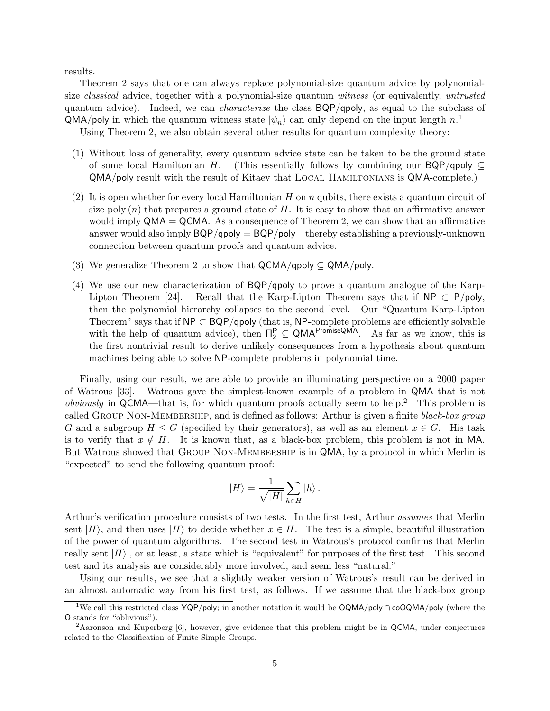results.

Theorem 2 says that one can always replace polynomial-size quantum advice by polynomialsize classical advice, together with a polynomial-size quantum witness (or equivalently, untrusted quantum advice). Indeed, we can *characterize* the class  $BQP/qpoly$ , as equal to the subclass of  $QMA/poly$  in which the quantum witness state  $|\psi_n\rangle$  can only depend on the input length  $n$ .<sup>1</sup>

Using Theorem 2, we also obtain several other results for quantum complexity theory:

- (1) Without loss of generality, every quantum advice state can be taken to be the ground state of some local Hamiltonian H. (This essentially follows by combining our BQP/qpoly  $\subset$ QMA/poly result with the result of Kitaev that Local Hamiltonians is QMA-complete.)
- (2) It is open whether for every local Hamiltonian H on n qubits, there exists a quantum circuit of size poly  $(n)$  that prepares a ground state of H. It is easy to show that an affirmative answer would imply  $QMA = QCMA$ . As a consequence of Theorem 2, we can show that an affirmative answer would also imply  $BQP/q$ poly  $= BQP/p$ oly—thereby establishing a previously-unknown connection between quantum proofs and quantum advice.
- (3) We generalize Theorem 2 to show that  $\mathsf{QCMA}/\mathsf{qpoly} \subseteq \mathsf{QMA}/\mathsf{poly}.$
- (4) We use our new characterization of BQP/qpoly to prove a quantum analogue of the Karp-Lipton Theorem [24]. Recall that the Karp-Lipton Theorem says that if  $NP \subset P/poly$ , then the polynomial hierarchy collapses to the second level. Our "Quantum Karp-Lipton Theorem" says that if  $NP \subset BQP/q$ poly (that is, NP-complete problems are efficiently solvable with the help of quantum advice), then  $\Pi_2^P \subseteq QMA^{PromiseQMA}$ . As far as we know, this is the first nontrivial result to derive unlikely consequences from a hypothesis about quantum machines being able to solve NP-complete problems in polynomial time.

Finally, using our result, we are able to provide an illuminating perspective on a 2000 paper of Watrous [33]. Watrous gave the simplest-known example of a problem in QMA that is not *obviously* in  $QCMA$ —that is, for which quantum proofs actually seem to help.<sup>2</sup> This problem is called GROUP NON-MEMBERSHIP, and is defined as follows: Arthur is given a finite black-box group G and a subgroup  $H \leq G$  (specified by their generators), as well as an element  $x \in G$ . His task is to verify that  $x \notin H$ . It is known that, as a black-box problem, this problem is not in MA. But Watrous showed that Group Non-Membership is in QMA, by a protocol in which Merlin is "expected" to send the following quantum proof:

$$
|H\rangle=\frac{1}{\sqrt{|H|}}\sum_{h\in H}|h\rangle\,.
$$

Arthur's verification procedure consists of two tests. In the first test, Arthur assumes that Merlin sent  $|H\rangle$ , and then uses  $|H\rangle$  to decide whether  $x \in H$ . The test is a simple, beautiful illustration of the power of quantum algorithms. The second test in Watrous's protocol confirms that Merlin really sent  $|H\rangle$ , or at least, a state which is "equivalent" for purposes of the first test. This second test and its analysis are considerably more involved, and seem less "natural."

Using our results, we see that a slightly weaker version of Watrous's result can be derived in an almost automatic way from his first test, as follows. If we assume that the black-box group

<sup>1</sup>We call this restricted class YQP/poly; in another notation it would be OQMA/poly <sup>∩</sup> coOQMA/poly (where the O stands for "oblivious").

<sup>&</sup>lt;sup>2</sup>Aaronson and Kuperberg [6], however, give evidence that this problem might be in QCMA, under conjectures related to the Classification of Finite Simple Groups.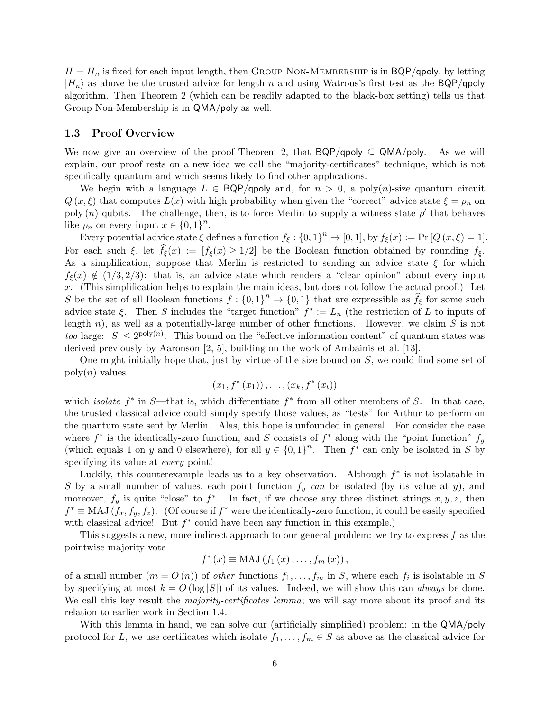$H = H_n$  is fixed for each input length, then GROUP NON-MEMBERSHIP is in BQP/qpoly, by letting  $|H_n\rangle$  as above be the trusted advice for length n and using Watrous's first test as the BQP/qpoly algorithm. Then Theorem 2 (which can be readily adapted to the black-box setting) tells us that Group Non-Membership is in QMA/poly as well.

### 1.3 Proof Overview

We now give an overview of the proof Theorem 2, that  $BQP/qpoly \subseteq QMA/poly$ . As we will explain, our proof rests on a new idea we call the "majority-certificates" technique, which is not specifically quantum and which seems likely to find other applications.

We begin with a language  $L \in BQP/qpoly$  and, for  $n > 0$ , a poly $(n)$ -size quantum circuit  $Q(x,\xi)$  that computes  $L(x)$  with high probability when given the "correct" advice state  $\xi = \rho_n$  on poly  $(n)$  qubits. The challenge, then, is to force Merlin to supply a witness state  $\rho'$  that behaves like  $\rho_n$  on every input  $x \in \{0,1\}^n$ .

Every potential advice state  $\xi$  defines a function  $f_{\xi} : \{0,1\}^n \to [0,1]$ , by  $f_{\xi}(x) := \Pr[Q(x,\xi) = 1]$ . For each such  $\xi$ , let  $f_{\xi}(x) := [f_{\xi}(x) \geq 1/2]$  be the Boolean function obtained by rounding  $f_{\xi}$ . As a simplification, suppose that Merlin is restricted to sending an advice state  $\xi$  for which  $f_{\xi}(x) \notin (1/3, 2/3)$ : that is, an advice state which renders a "clear opinion" about every input x. (This simplification helps to explain the main ideas, but does not follow the actual proof.) Let S be the set of all Boolean functions  $f: \{0,1\}^n \to \{0,1\}$  that are expressible as  $\hat{f}_{\xi}$  for some such advice state ξ. Then S includes the "target function"  $f^* := L_n$  (the restriction of L to inputs of length  $n$ ), as well as a potentially-large number of other functions. However, we claim  $S$  is not too large:  $|S| \le 2^{\text{poly}(n)}$ . This bound on the "effective information content" of quantum states was derived previously by Aaronson [2, 5], building on the work of Ambainis et al. [13].

One might initially hope that, just by virtue of the size bound on S, we could find some set of  $\operatorname{poly}(n)$  values

$$
(x_1, f^*(x_1)), \ldots, (x_k, f^*(x_t))
$$

which *isolate*  $f^*$  in S—that is, which differentiate  $f^*$  from all other members of S. In that case, the trusted classical advice could simply specify those values, as "tests" for Arthur to perform on the quantum state sent by Merlin. Alas, this hope is unfounded in general. For consider the case where  $f^*$  is the identically-zero function, and S consists of  $f^*$  along with the "point function"  $f_y$ (which equals 1 on y and 0 elsewhere), for all  $y \in \{0,1\}^n$ . Then  $f^*$  can only be isolated in S by specifying its value at *every* point!

Luckily, this counterexample leads us to a key observation. Although  $f^*$  is not isolatable in S by a small number of values, each point function  $f_y$  can be isolated (by its value at y), and moreover,  $f_y$  is quite "close" to  $f^*$ . In fact, if we choose any three distinct strings  $x, y, z$ , then  $f^* \equiv \text{MAJ}(f_x, f_y, f_z)$ . (Of course if  $f^*$  were the identically-zero function, it could be easily specified with classical advice! But  $f^*$  could have been any function in this example.)

This suggests a new, more indirect approach to our general problem: we try to express f as the pointwise majority vote

$$
f^{*}(x) \equiv \mathrm{MAJ}\left(f_{1}\left(x\right),\ldots,f_{m}\left(x\right)\right),\,
$$

of a small number  $(m = O(n))$  of other functions  $f_1, \ldots, f_m$  in S, where each  $f_i$  is isolatable in S by specifying at most  $k = O(\log |S|)$  of its values. Indeed, we will show this can *always* be done. We call this key result the *majority-certificates lemma*; we will say more about its proof and its relation to earlier work in Section 1.4.

With this lemma in hand, we can solve our (artificially simplified) problem: in the QMA/poly protocol for L, we use certificates which isolate  $f_1, \ldots, f_m \in S$  as above as the classical advice for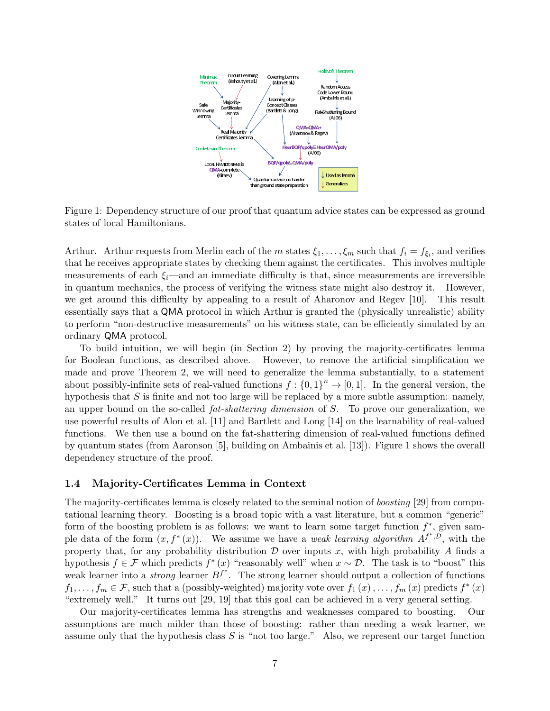

Figure 1: Dependency structure of our proof that quantum advice states can be expressed as ground states of local Hamiltonians.

Arthur. Arthur requests from Merlin each of the m states  $\xi_1,\ldots,\xi_m$  such that  $f_i = f_{\xi_i}$ , and verifies that he receives appropriate states by checking them against the certificates. This involves multiple measurements of each  $\xi_i$ —and an immediate difficulty is that, since measurements are irreversible in quantum mechanics, the process of verifying the witness state might also destroy it. However, we get around this difficulty by appealing to a result of Aharonov and Regev [10]. This result essentially says that a QMA protocol in which Arthur is granted the (physically unrealistic) ability to perform "non-destructive measurements" on his witness state, can be efficiently simulated by an ordinary QMA protocol.

To build intuition, we will begin (in Section 2) by proving the majority-certificates lemma for Boolean functions, as described above. However, to remove the artificial simplification we made and prove Theorem 2, we will need to generalize the lemma substantially, to a statement about possibly-infinite sets of real-valued functions  $f : \{0,1\}^n \to [0,1]$ . In the general version, the hypothesis that  $S$  is finite and not too large will be replaced by a more subtle assumption: namely, an upper bound on the so-called  $fat-shattering$  dimension of S. To prove our generalization, we use powerful results of Alon et al. [11] and Bartlett and Long [14] on the learnability of real-valued functions. We then use a bound on the fat-shattering dimension of real-valued functions defined by quantum states (from Aaronson [5], building on Ambainis et al. [13]). Figure 1 shows the overall dependency structure of the proof.

### 1.4 Majority-Certificates Lemma in Context

The majority-certificates lemma is closely related to the seminal notion of *boosting* [29] from computational learning theory. Boosting is a broad topic with a vast literature, but a common "generic" form of the boosting problem is as follows: we want to learn some target function  $f^*$ , given sample data of the form  $(x, f^*(x))$ . We assume we have a *weak learning algorithm*  $A^{f^*,\mathcal{D}}$ , with the property that, for any probability distribution  $D$  over inputs x, with high probability A finds a hypothesis  $f \in \mathcal{F}$  which predicts  $f^*(x)$  "reasonably well" when  $x \sim \mathcal{D}$ . The task is to "boost" this weak learner into a *strong* learner  $B^{f^*}$ . The strong learner should output a collection of functions  $f_1,\ldots,f_m\in\mathcal{F}$ , such that a (possibly-weighted) majority vote over  $f_1(x),\ldots,f_m(x)$  predicts  $f^*(x)$ "extremely well." It turns out [29, 19] that this goal can be achieved in a very general setting.

Our majority-certificates lemma has strengths and weaknesses compared to boosting. Our assumptions are much milder than those of boosting: rather than needing a weak learner, we assume only that the hypothesis class  $S$  is "not too large." Also, we represent our target function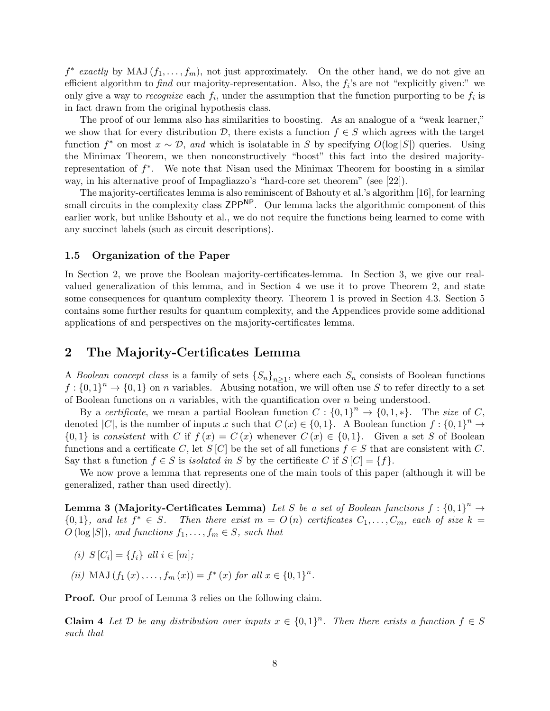$f^*$  exactly by MAJ  $(f_1,\ldots,f_m)$ , not just approximately. On the other hand, we do not give an efficient algorithm to find our majority-representation. Also, the  $f_i$ 's are not "explicitly given:" we only give a way to recognize each  $f_i$ , under the assumption that the function purporting to be  $f_i$  is in fact drawn from the original hypothesis class.

The proof of our lemma also has similarities to boosting. As an analogue of a "weak learner," we show that for every distribution  $\mathcal{D}$ , there exists a function  $f \in S$  which agrees with the target function  $f^*$  on most  $x \sim \mathcal{D}$ , and which is isolatable in S by specifying  $O(\log |S|)$  queries. Using the Minimax Theorem, we then nonconstructively "boost" this fact into the desired majorityrepresentation of  $f^*$ . We note that Nisan used the Minimax Theorem for boosting in a similar way, in his alternative proof of Impagliazzo's "hard-core set theorem" (see [22]).

The majority-certificates lemma is also reminiscent of Bshouty et al.'s algorithm [16], for learning small circuits in the complexity class  $\mathsf{ZPP}^{\mathsf{NP}}$ . Our lemma lacks the algorithmic component of this earlier work, but unlike Bshouty et al., we do not require the functions being learned to come with any succinct labels (such as circuit descriptions).

### 1.5 Organization of the Paper

In Section 2, we prove the Boolean majority-certificates-lemma. In Section 3, we give our realvalued generalization of this lemma, and in Section 4 we use it to prove Theorem 2, and state some consequences for quantum complexity theory. Theorem 1 is proved in Section 4.3. Section 5 contains some further results for quantum complexity, and the Appendices provide some additional applications of and perspectives on the majority-certificates lemma.

# 2 The Majority-Certificates Lemma

A Boolean concept class is a family of sets  $\{S_n\}_{n>1}$ , where each  $S_n$  consists of Boolean functions  $f: \{0,1\}^n \to \{0,1\}$  on n variables. Abusing notation, we will often use S to refer directly to a set of Boolean functions on  $n$  variables, with the quantification over  $n$  being understood.

By a certificate, we mean a partial Boolean function  $C : \{0,1\}^n \to \{0,1,*\}$ . The size of C, denoted |C|, is the number of inputs x such that  $C(x) \in \{0,1\}$ . A Boolean function  $f: \{0,1\}^n \to$  $\{0,1\}$  is consistent with C if  $f(x) = C(x)$  whenever  $C(x) \in \{0,1\}$ . Given a set S of Boolean functions and a certificate C, let S [C] be the set of all functions  $f \in S$  that are consistent with C. Say that a function  $f \in S$  is *isolated in* S by the certificate C if  $S[C] = \{f\}.$ 

We now prove a lemma that represents one of the main tools of this paper (although it will be generalized, rather than used directly).

**Lemma 3 (Majority-Certificates Lemma)** Let S be a set of Boolean functions  $f : \{0,1\}^n \rightarrow$  ${0,1}$ , and let  $f^* \in S$ . Then there exist  $m = O(n)$  certificates  $C_1, \ldots, C_m$ , each of size  $k =$  $O(\log |S|)$ , and functions  $f_1, \ldots, f_m \in S$ , such that

- (i)  $S[C_i] = \{f_i\}$  all  $i \in [m];$
- (ii) MAJ  $(f_1(x),...,f_m(x)) = f^*(x)$  for all  $x \in \{0,1\}^n$ .

Proof. Our proof of Lemma 3 relies on the following claim.

**Claim 4** Let D be any distribution over inputs  $x \in \{0,1\}^n$ . Then there exists a function  $f \in S$ such that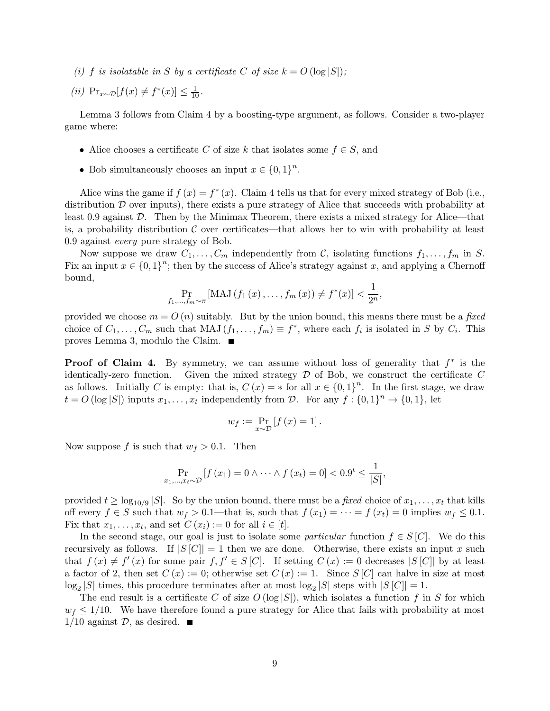(i) f is isolatable in S by a certificate C of size  $k = O(\log |S|)$ ;

(*ii*)  $Pr_{x \sim \mathcal{D}}[f(x) \neq f^*(x)] \leq \frac{1}{10}$ .

Lemma 3 follows from Claim 4 by a boosting-type argument, as follows. Consider a two-player game where:

- Alice chooses a certificate C of size k that isolates some  $f \in S$ , and
- Bob simultaneously chooses an input  $x \in \{0,1\}^n$ .

Alice wins the game if  $f(x) = f^*(x)$ . Claim 4 tells us that for every mixed strategy of Bob (i.e., distribution  $\mathcal D$  over inputs), there exists a pure strategy of Alice that succeeds with probability at least 0.9 against D. Then by the Minimax Theorem, there exists a mixed strategy for Alice—that is, a probability distribution  $\mathcal C$  over certificates—that allows her to win with probability at least 0.9 against every pure strategy of Bob.

Now suppose we draw  $C_1, \ldots, C_m$  independently from C, isolating functions  $f_1, \ldots, f_m$  in S. Fix an input  $x \in \{0,1\}^n$ ; then by the success of Alice's strategy against x, and applying a Chernoff bound,

$$
\Pr_{f_1,...,f_m \sim \pi} \left[ \text{MAJ} \left( f_1 \left( x \right), \dots, f_m \left( x \right) \right) \neq f^*(x) \right] < \frac{1}{2^n},
$$

provided we choose  $m = O(n)$  suitably. But by the union bound, this means there must be a fixed choice of  $C_1,\ldots,C_m$  such that MAJ  $(f_1,\ldots,f_m) \equiv f^*$ , where each  $f_i$  is isolated in S by  $C_i$ . This proves Lemma 3, modulo the Claim.

**Proof of Claim 4.** By symmetry, we can assume without loss of generality that  $f^*$  is the identically-zero function. Given the mixed strategy  $D$  of Bob, we construct the certificate  $C$ as follows. Initially C is empty: that is,  $C(x) = *$  for all  $x \in \{0,1\}^n$ . In the first stage, we draw  $t = O(\log |S|)$  inputs  $x_1, \ldots, x_t$  independently from  $\mathcal{D}$ . For any  $f : \{0,1\}^n \to \{0,1\}$ , let

$$
w_f := \Pr_{x \sim \mathcal{D}} \left[ f \left( x \right) = 1 \right].
$$

Now suppose f is such that  $w_f > 0.1$ . Then

$$
\Pr_{x_1, ..., x_t \sim \mathcal{D}} \left[ f(x_1) = 0 \wedge \dots \wedge f(x_t) = 0 \right] < 0.9^t \le \frac{1}{|S|},
$$

provided  $t \geq \log_{10/9} |S|$ . So by the union bound, there must be a fixed choice of  $x_1, \ldots, x_t$  that kills off every  $f \in S$  such that  $w_f > 0.1$ —that is, such that  $f(x_1) = \cdots = f(x_t) = 0$  implies  $w_f \leq 0.1$ . Fix that  $x_1, \ldots, x_t$ , and set  $C(x_i) := 0$  for all  $i \in [t]$ .

In the second stage, our goal is just to isolate some *particular* function  $f \in S[C]$ . We do this recursively as follows. If  $|S[C]| = 1$  then we are done. Otherwise, there exists an input x such that  $f(x) \neq f'(x)$  for some pair  $f, f' \in S[C]$ . If setting  $C(x) := 0$  decreases  $|S[C]|$  by at least a factor of 2, then set  $C(x) := 0$ ; otherwise set  $C(x) := 1$ . Since  $S[C]$  can halve in size at most  $\log_2 |S|$  times, this procedure terminates after at most  $\log_2 |S|$  steps with  $|S|C| = 1$ .

The end result is a certificate C of size  $O(\log |S|)$ , which isolates a function f in S for which  $w_f \leq 1/10$ . We have therefore found a pure strategy for Alice that fails with probability at most  $1/10$  against  $\mathcal{D}$ , as desired.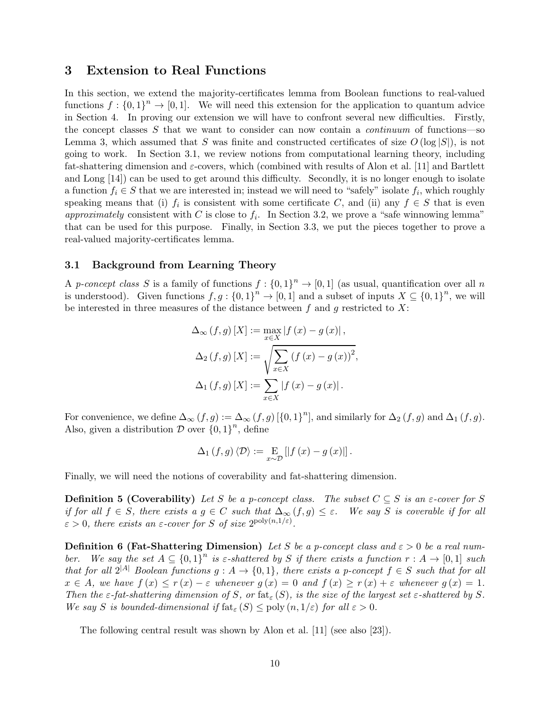## 3 Extension to Real Functions

In this section, we extend the majority-certificates lemma from Boolean functions to real-valued functions  $f: \{0,1\}^n \to [0,1]$ . We will need this extension for the application to quantum advice in Section 4. In proving our extension we will have to confront several new difficulties. Firstly, the concept classes  $S$  that we want to consider can now contain a *continuum* of functions—so Lemma 3, which assumed that S was finite and constructed certificates of size  $O(\log |S|)$ , is not going to work. In Section 3.1, we review notions from computational learning theory, including fat-shattering dimension and  $\varepsilon$ -covers, which (combined with results of Alon et al. [11] and Bartlett and Long [14]) can be used to get around this difficulty. Secondly, it is no longer enough to isolate a function  $f_i \in S$  that we are interested in; instead we will need to "safely" isolate  $f_i$ , which roughly speaking means that (i)  $f_i$  is consistent with some certificate C, and (ii) any  $f \in S$  that is even approximately consistent with C is close to  $f_i$ . In Section 3.2, we prove a "safe winnowing lemma" that can be used for this purpose. Finally, in Section 3.3, we put the pieces together to prove a real-valued majority-certificates lemma.

### 3.1 Background from Learning Theory

A p-concept class S is a family of functions  $f: \{0,1\}^n \to [0,1]$  (as usual, quantification over all n is understood). Given functions  $f,g: \{0,1\}^n \to [0,1]$  and a subset of inputs  $X \subseteq \{0,1\}^n$ , we will be interested in three measures of the distance between f and g restricted to  $X$ :

$$
\Delta_{\infty}(f,g)[X] := \max_{x \in X} |f(x) - g(x)|,
$$
  

$$
\Delta_{2}(f,g)[X] := \sqrt{\sum_{x \in X} (f(x) - g(x))^{2}},
$$
  

$$
\Delta_{1}(f,g)[X] := \sum_{x \in X} |f(x) - g(x)|.
$$

For convenience, we define  $\Delta_{\infty}(f,g) := \Delta_{\infty}(f,g)$  [{0, 1}<sup>n</sup>], and similarly for  $\Delta_2(f,g)$  and  $\Delta_1(f,g)$ . Also, given a distribution  $\mathcal D$  over  $\{0,1\}^n$ , define

$$
\Delta_1(f,g)\left\langle \mathcal{D}\right\rangle:=\underset{x\sim\mathcal{D}}{\mathrm{E}}\left[\left|f\left(x\right)-g\left(x\right)\right|\right].
$$

Finally, we will need the notions of coverability and fat-shattering dimension.

**Definition 5 (Coverability)** Let S be a p-concept class. The subset  $C \subseteq S$  is an  $\varepsilon$ -cover for S if for all  $f \in S$ , there exists  $a \circ g \in C$  such that  $\Delta_{\infty}(f,g) \leq \varepsilon$ . We say S is coverable if for all  $\varepsilon > 0$ , there exists an  $\varepsilon$ -cover for S of size  $2^{\text{poly}(n,1/\varepsilon)}$ .

**Definition 6 (Fat-Shattering Dimension)** Let S be a p-concept class and  $\varepsilon > 0$  be a real number. We say the set  $A \subseteq \{0,1\}^n$  is  $\varepsilon$ -shattered by S if there exists a function  $r : A \to [0,1]$  such that for all  $2^{|A|}$  Boolean functions  $q : A \to \{0,1\}$ , there exists a p-concept  $f \in S$  such that for all  $x \in A$ , we have  $f(x) \leq r(x) - \varepsilon$  whenever  $g(x) = 0$  and  $f(x) \geq r(x) + \varepsilon$  whenever  $g(x) = 1$ . Then the  $\varepsilon$ -fat-shattering dimension of S, or fat<sub> $\varepsilon$ </sub>(S), is the size of the largest set  $\varepsilon$ -shattered by S. We say S is bounded-dimensional if  $f_{\text{fat}_{\varepsilon}}(S) \leq \text{poly}(n, 1/\varepsilon)$  for all  $\varepsilon > 0$ .

The following central result was shown by Alon et al. [11] (see also [23]).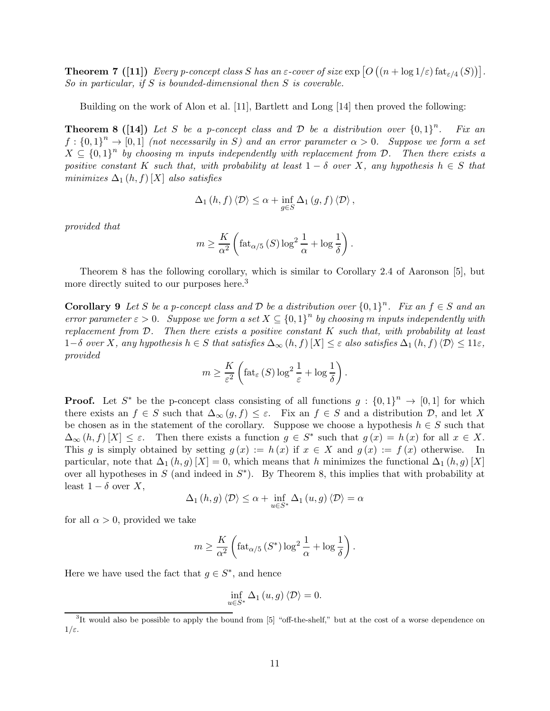**Theorem 7** ([11]) Every p-concept class S has an  $\varepsilon$ -cover of size  $\exp [O((n + \log 1/\varepsilon) \text{ fat}_{\varepsilon/4}(S))].$ So in particular, if S is bounded-dimensional then S is coverable.

Building on the work of Alon et al. [11], Bartlett and Long [14] then proved the following:

**Theorem 8 ([14])** Let S be a p-concept class and D be a distribution over  $\{0,1\}^n$ . Fix an  $f: \{0,1\}^n \to [0,1]$  (not necessarily in S) and an error parameter  $\alpha > 0$ . Suppose we form a set  $X \subseteq \{0,1\}^n$  by choosing m inputs independently with replacement from D. Then there exists a positive constant K such that, with probability at least  $1 - \delta$  over X, any hypothesis  $h \in S$  that minimizes  $\Delta_1(h, f)[X]$  also satisfies

$$
\Delta_1(h, f) \langle \mathcal{D} \rangle \leq \alpha + \inf_{g \in S} \Delta_1(g, f) \langle \mathcal{D} \rangle,
$$

provided that

$$
m \ge \frac{K}{\alpha^2} \left( \text{fat}_{\alpha/5} (S) \log^2 \frac{1}{\alpha} + \log \frac{1}{\delta} \right).
$$

Theorem 8 has the following corollary, which is similar to Corollary 2.4 of Aaronson [5], but more directly suited to our purposes here.<sup>3</sup>

**Corollary 9** Let S be a p-concept class and D be a distribution over  $\{0,1\}^n$ . Fix an  $f \in S$  and an error parameter  $\varepsilon > 0$ . Suppose we form a set  $X \subseteq \{0,1\}^n$  by choosing m inputs independently with replacement from  $D$ . Then there exists a positive constant K such that, with probability at least  $1-\delta$  over X, any hypothesis  $h \in S$  that satisfies  $\Delta_{\infty}(h, f)$   $[X] \leq \varepsilon$  also satisfies  $\Delta_1(h, f) \langle \mathcal{D} \rangle \leq 11\varepsilon$ , provided

$$
m \geq \frac{K}{\varepsilon^2} \left( \text{fat}_{\varepsilon} \left( S \right) \log^2 \frac{1}{\varepsilon} + \log \frac{1}{\delta} \right).
$$

**Proof.** Let S<sup>\*</sup> be the p-concept class consisting of all functions  $g : \{0,1\}^n \to [0,1]$  for which there exists an  $f \in S$  such that  $\Delta_{\infty}(g, f) \leq \varepsilon$ . Fix an  $f \in S$  and a distribution  $\mathcal{D}$ , and let X be chosen as in the statement of the corollary. Suppose we choose a hypothesis  $h \in S$  such that  $\Delta_{\infty}(h, f)[X] \leq \varepsilon$ . Then there exists a function  $g \in S^*$  such that  $g(x) = h(x)$  for all  $x \in X$ . This g is simply obtained by setting  $g(x) := h(x)$  if  $x \in X$  and  $g(x) := f(x)$  otherwise. In particular, note that  $\Delta_1(h,g)[X] = 0$ , which means that h minimizes the functional  $\Delta_1(h,g)[X]$ over all hypotheses in S (and indeed in  $S<sup>*</sup>$ ). By Theorem 8, this implies that with probability at least  $1 - \delta$  over X,

$$
\Delta_1(h,g)\langle \mathcal{D}\rangle \leq \alpha + \inf_{u \in S^*} \Delta_1(u,g)\langle \mathcal{D}\rangle = \alpha
$$

for all  $\alpha > 0$ , provided we take

$$
m \ge \frac{K}{\alpha^2} \left( \text{fat}_{\alpha/5} \left( S^* \right) \log^2 \frac{1}{\alpha} + \log \frac{1}{\delta} \right).
$$

Here we have used the fact that  $g \in S^*$ , and hence

$$
\inf_{u \in S^*} \Delta_1(u, g) \langle \mathcal{D} \rangle = 0.
$$

<sup>&</sup>lt;sup>3</sup>It would also be possible to apply the bound from [5] "off-the-shelf," but at the cost of a worse dependence on  $1/\varepsilon$ .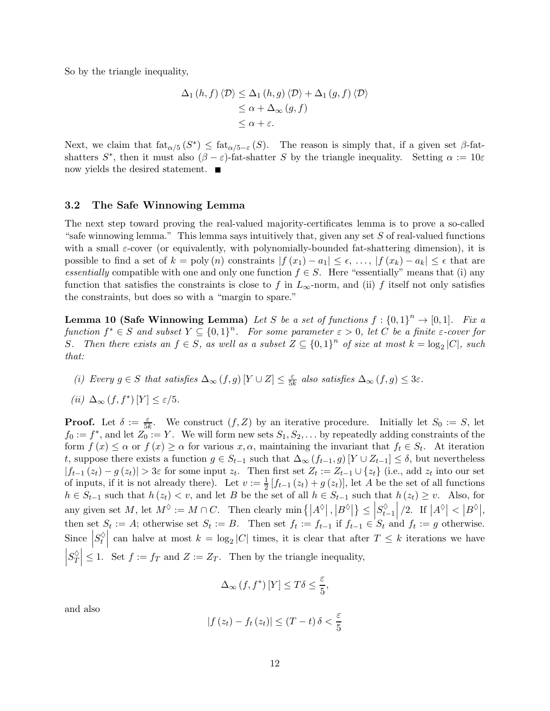So by the triangle inequality,

$$
\Delta_1(h, f) \langle \mathcal{D} \rangle \leq \Delta_1(h, g) \langle \mathcal{D} \rangle + \Delta_1(g, f) \langle \mathcal{D} \rangle
$$
  
\n
$$
\leq \alpha + \Delta_{\infty}(g, f)
$$
  
\n
$$
\leq \alpha + \varepsilon.
$$

Next, we claim that  $\text{fat}_{\alpha/5}(S^*) \leq \text{fat}_{\alpha/5-\varepsilon}(S)$ . The reason is simply that, if a given set  $\beta$ -fatshatters  $S^*$ , then it must also  $(\beta - \varepsilon)$ -fat-shatter S by the triangle inequality. Setting  $\alpha := 10\varepsilon$ now yields the desired statement. ■

### 3.2 The Safe Winnowing Lemma

The next step toward proving the real-valued majority-certificates lemma is to prove a so-called "safe winnowing lemma." This lemma says intuitively that, given any set  $S$  of real-valued functions with a small  $\varepsilon$ -cover (or equivalently, with polynomially-bounded fat-shattering dimension), it is possible to find a set of  $k = \text{poly}(n)$  constraints  $|f(x_1) - a_1| \leq \epsilon, \ldots, |f(x_k) - a_k| \leq \epsilon$  that are essentially compatible with one and only one function  $f \in S$ . Here "essentially" means that (i) any function that satisfies the constraints is close to f in  $L_{\infty}$ -norm, and (ii) f itself not only satisfies the constraints, but does so with a "margin to spare."

**Lemma 10 (Safe Winnowing Lemma)** Let S be a set of functions  $f: \{0,1\}^n \to [0,1]$ . Fix a function  $f^* \in S$  and subset  $Y \subseteq \{0,1\}^n$ . For some parameter  $\varepsilon > 0$ , let  $C$  be a finite  $\varepsilon$ -cover for S. Then there exists an  $f \in S$ , as well as a subset  $Z \subseteq \{0,1\}^n$  of size at most  $k = \log_2 |C|$ , such that:

- (i) Every  $g \in S$  that satisfies  $\Delta_{\infty}(f,g)[Y \cup Z] \leq \frac{\varepsilon}{5k}$  also satisfies  $\Delta_{\infty}(f,g) \leq 3\varepsilon$ .
- (ii)  $\Delta_{\infty} (f, f^*)$  [Y]  $\leq \varepsilon/5$ .

**Proof.** Let  $\delta := \frac{\varepsilon}{5k}$ . We construct  $(f, Z)$  by an iterative procedure. Initially let  $S_0 := S$ , let  $f_0 := f^*$ , and let  $Z_0 := Y$ . We will form new sets  $S_1, S_2, \ldots$  by repeatedly adding constraints of the form  $f(x) \leq \alpha$  or  $f(x) \geq \alpha$  for various  $x, \alpha$ , maintaining the invariant that  $f_t \in S_t$ . At iteration t, suppose there exists a function  $g \in S_{t-1}$  such that  $\Delta_{\infty}(f_{t-1}, g)$   $[Y \cup Z_{t-1}] \leq \delta$ , but nevertheless  $|f_{t-1}(z_t) - g(z_t)| > 3\varepsilon$  for some input  $z_t$ . Then first set  $Z_t := Z_{t-1} \cup \{z_t\}$  (i.e., add  $z_t$  into our set of inputs, if it is not already there). Let  $v := \frac{1}{2} [f_{t-1}(z_t) + g(z_t)]$ , let A be the set of all functions  $h \in S_{t-1}$  such that  $h(z_t) < v$ , and let B be the set of all  $h \in S_{t-1}$  such that  $h(z_t) \geq v$ . Also, for any given set M, let  $M^{\lozenge} := M \cap C$ . Then clearly  $\min \{|A^{\lozenge}|, |B^{\lozenge}|\} \le |S_{t-1}^{\lozenge}|$  $|/2.$  If  $|A^{\lozenge}| < |B^{\lozenge}|,$ then set  $S_t := A$ ; otherwise set  $S_t := B$ . Then set  $f_t := f_{t-1}$  if  $f_{t-1} \in S_t$  and  $f_t := g$  otherwise. Since  $S_t^{\lozenge}$ can halve at most  $k = \log_2 |C|$  times, it is clear that after  $T \leq k$  iterations we have  $\left|S_T^{\lozenge}\right.$  $\vert \leq 1$ . Set  $f := f_T$  and  $Z := Z_T$ . Then by the triangle inequality,

$$
\Delta_{\infty} (f, f^*)[Y] \le T\delta \le \frac{\varepsilon}{5},
$$

and also

$$
|f(z_t) - f_t(z_t)| \le (T - t) \delta < \frac{\varepsilon}{5}
$$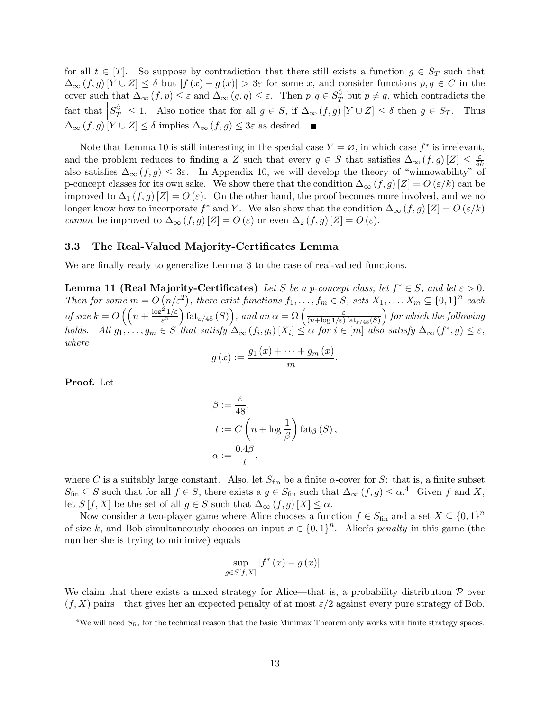for all  $t \in [T]$ . So suppose by contradiction that there still exists a function  $g \in S_T$  such that  $\Delta_{\infty}(f,g)[Y\cup Z] \leq \delta$  but  $|f(x) - g(x)| > 3\varepsilon$  for some x, and consider functions  $p, q \in C$  in the cover such that  $\Delta_{\infty}(f, p) \leq \varepsilon$  and  $\Delta_{\infty}(g, q) \leq \varepsilon$ . Then  $p, q \in S_T^{\lozenge}$  but  $p \neq q$ , which contradicts the fact that  $\left|S_T^{\lozenge}\right|$  $\vert \leq 1$ . Also notice that for all  $g \in S$ , if  $\Delta_{\infty}(f,g)[Y \cup Z] \leq \delta$  then  $g \in S_T$ . Thus  $\Delta_{\infty}(f,g)[Y \cup Z] \leq \delta$  implies  $\Delta_{\infty}(f,g) \leq 3\varepsilon$  as desired.

Note that Lemma 10 is still interesting in the special case  $Y = \emptyset$ , in which case  $f^*$  is irrelevant, and the problem reduces to finding a Z such that every  $g \in S$  that satisfies  $\Delta_{\infty}(f,g)[Z] \leq \frac{\varepsilon}{5k}$ also satisfies  $\Delta_{\infty}(f,g) \leq 3\varepsilon$ . In Appendix 10, we will develop the theory of "winnowability" of p-concept classes for its own sake. We show there that the condition  $\Delta_{\infty}(f,g)[Z] = O(\varepsilon/k)$  can be improved to  $\Delta_1(f,g)[Z] = O(\varepsilon)$ . On the other hand, the proof becomes more involved, and we no longer know how to incorporate f<sup>\*</sup> and Y. We also show that the condition  $\Delta_{\infty}(f,g)[Z] = O(\varepsilon/k)$ cannot be improved to  $\Delta_{\infty}(f,g)[Z] = O(\varepsilon)$  or even  $\Delta_2(f,g)[Z] = O(\varepsilon)$ .

### 3.3 The Real-Valued Majority-Certificates Lemma

We are finally ready to generalize Lemma 3 to the case of real-valued functions.

Lemma 11 (Real Majority-Certificates) Let S be a p-concept class, let  $f^* \in S$ , and let  $\varepsilon > 0$ . Then for some  $m = O(n/\varepsilon^2)$ , there exist functions  $f_1, \ldots, f_m \in S$ , sets  $X_1, \ldots, X_m \subseteq \{0,1\}^n$  each of size  $k = O\left(\left(n + \frac{\log^2 1/\varepsilon}{\varepsilon^2}\right)\right)$  $\int \text{fat}_{\varepsilon/48} (S) \bigg)$ , and an  $\alpha = \Omega \left( \frac{\varepsilon}{(n + \log 1/\varepsilon)} \right)$  $(n+\log 1/\varepsilon)$  fat<sub> $\varepsilon/48(S)$ </sub>  $\int$  for which the following holds. All  $g_1, \ldots, g_m \in S$  that satisfy  $\Delta_\infty(f_i, g_i)$   $[X_i] \leq \alpha$  for  $i \in [m]$  also satisfy  $\Delta_\infty(f^*, g) \leq \varepsilon$ , where

$$
g(x) := \frac{g_1(x) + \dots + g_m(x)}{m}.
$$

Proof. Let

$$
\beta := \frac{\varepsilon}{48},
$$
  
\n
$$
t := C\left(n + \log \frac{1}{\beta}\right) \text{fat}_{\beta}(S),
$$
  
\n
$$
\alpha := \frac{0.4\beta}{t},
$$

where C is a suitably large constant. Also, let  $S_{fin}$  be a finite  $\alpha$ -cover for S: that is, a finite subset  $S_{\text{fin}} \subseteq S$  such that for all  $f \in S$ , there exists a  $g \in S_{\text{fin}}$  such that  $\Delta_{\infty}(f,g) \leq \alpha^4$  Given f and X, let  $S[f, X]$  be the set of all  $g \in S$  such that  $\Delta_{\infty}(f, g)[X] \leq \alpha$ .

Now consider a two-player game where Alice chooses a function  $f \in S_{fin}$  and a set  $X \subseteq \{0,1\}^n$ of size k, and Bob simultaneously chooses an input  $x \in \{0,1\}^n$ . Alice's penalty in this game (the number she is trying to minimize) equals

$$
\sup_{g\in S[f,X]}|f^*(x)-g(x)|.
$$

We claim that there exists a mixed strategy for Alice—that is, a probability distribution  $P$  over  $(f, X)$  pairs—that gives her an expected penalty of at most  $\varepsilon/2$  against every pure strategy of Bob.

<sup>&</sup>lt;sup>4</sup>We will need  $S<sub>fin</sub>$  for the technical reason that the basic Minimax Theorem only works with finite strategy spaces.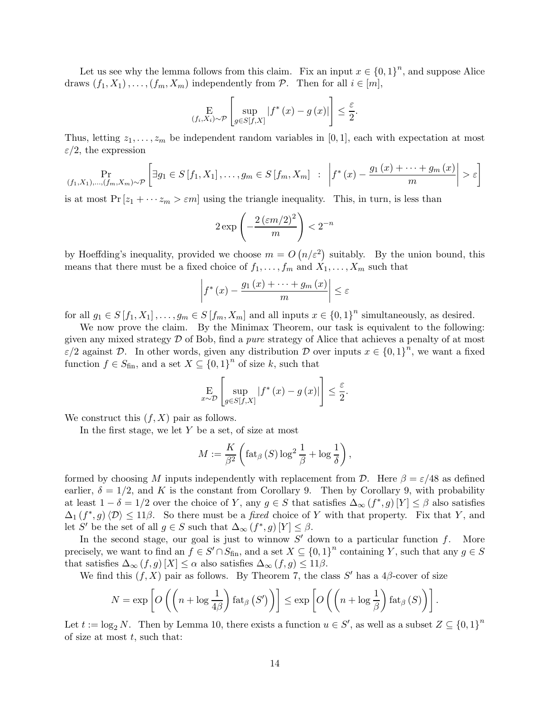Let us see why the lemma follows from this claim. Fix an input  $x \in \{0,1\}^n$ , and suppose Alice draws  $(f_1, X_1), \ldots, (f_m, X_m)$  independently from P. Then for all  $i \in [m],$ 

$$
\mathop{\mathbf{E}}_{(f_i, X_i) \sim \mathcal{P}} \left[ \sup_{g \in S[f, X]} |f^*(x) - g(x)| \right] \le \frac{\varepsilon}{2}.
$$

Thus, letting  $z_1, \ldots, z_m$  be independent random variables in [0, 1], each with expectation at most  $\varepsilon/2$ , the expression

$$
\Pr_{(f_1, X_1), ..., (f_m, X_m) \sim \mathcal{P}} \left[ \exists g_1 \in S \, [f_1, X_1], ..., g_m \in S \, [f_m, X_m] \; : \; \left| f^*(x) - \frac{g_1(x) + \dots + g_m(x)}{m} \right| > \varepsilon \right]
$$

is at most  $Pr[z_1 + \cdots z_m > \varepsilon m]$  using the triangle inequality. This, in turn, is less than

$$
2\exp\left(-\frac{2\left(\varepsilon m/2\right)^2}{m}\right) < 2^{-n}
$$

by Hoeffding's inequality, provided we choose  $m = O(n/\varepsilon^2)$  suitably. By the union bound, this means that there must be a fixed choice of  $f_1, \ldots, f_m$  and  $X_1, \ldots, X_m$  such that

$$
\left| f^{*}\left(x\right) - \frac{g_{1}\left(x\right) + \dots + g_{m}\left(x\right)}{m} \right| \leq \varepsilon
$$

for all  $g_1 \in S[f_1, X_1], \ldots, g_m \in S[f_m, X_m]$  and all inputs  $x \in \{0,1\}^n$  simultaneously, as desired.

We now prove the claim. By the Minimax Theorem, our task is equivalent to the following: given any mixed strategy  $D$  of Bob, find a *pure* strategy of Alice that achieves a penalty of at most  $\varepsilon/2$  against D. In other words, given any distribution D over inputs  $x \in \{0,1\}^n$ , we want a fixed function  $f \in S_{fin}$ , and a set  $X \subseteq \{0,1\}^n$  of size k, such that

$$
\mathop{\mathbf{E}}_{x \sim \mathcal{D}} \left[ \sup_{g \in S[f,X]} |f^*(x) - g(x)| \right] \le \frac{\varepsilon}{2}.
$$

We construct this  $(f, X)$  pair as follows.

In the first stage, we let  $Y$  be a set, of size at most

$$
M := \frac{K}{\beta^2} \left( \text{fat}_{\beta} \left( S \right) \log^2 \frac{1}{\beta} + \log \frac{1}{\delta} \right),
$$

formed by choosing M inputs independently with replacement from D. Here  $\beta = \varepsilon/48$  as defined earlier,  $\delta = 1/2$ , and K is the constant from Corollary 9. Then by Corollary 9, with probability at least  $1 - \delta = 1/2$  over the choice of Y, any  $g \in S$  that satisfies  $\Delta_{\infty}(f^*, g)[Y] \leq \beta$  also satisfies  $\Delta_1(f^*,g)\langle\mathcal{D}\rangle\leq 11\beta$ . So there must be a *fixed* choice of Y with that property. Fix that Y, and let S' be the set of all  $g \in S$  such that  $\Delta_{\infty} (f^*, g)[Y] \leq \beta$ .

In the second stage, our goal is just to winnow  $S'$  down to a particular function  $f$ . More precisely, we want to find an  $f \in S' \cap S_{fin}$ , and a set  $X \subseteq \{0,1\}^n$  containing Y, such that any  $g \in S$ that satisfies  $\Delta_{\infty}(f,g)[X] \leq \alpha$  also satisfies  $\Delta_{\infty}(f,g) \leq 11\beta$ .

We find this  $(f, X)$  pair as follows. By Theorem 7, the class S' has a 4 $\beta$ -cover of size

$$
N = \exp \left[ O\left( \left( n + \log \frac{1}{4\beta} \right) \operatorname{fat}_{\beta} \left( S' \right) \right) \right] \le \exp \left[ O\left( \left( n + \log \frac{1}{\beta} \right) \operatorname{fat}_{\beta} \left( S \right) \right) \right].
$$

Let  $t := \log_2 N$ . Then by Lemma 10, there exists a function  $u \in S'$ , as well as a subset  $Z \subseteq \{0,1\}^n$ of size at most  $t$ , such that: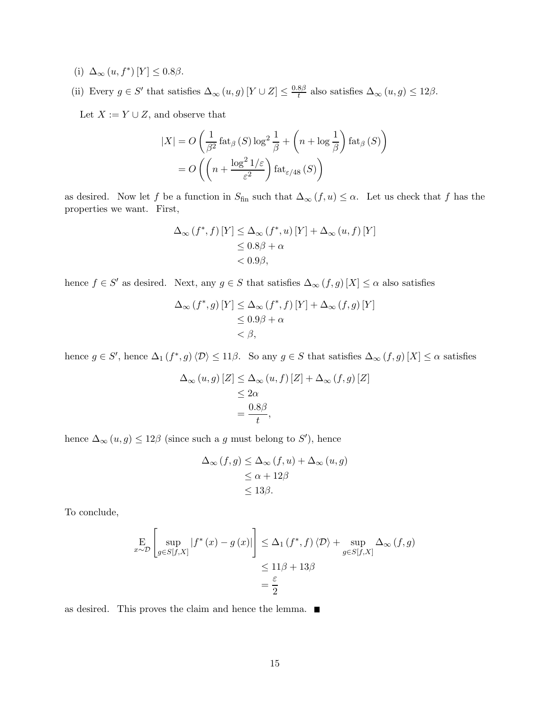- (i)  $\Delta_{\infty}(u, f^*)$  [Y]  $\leq 0.8\beta$ .
- (ii) Every  $g \in S'$  that satisfies  $\Delta_{\infty}(u, g)$   $[Y \cup Z] \leq \frac{0.8\beta}{t}$  also satisfies  $\Delta_{\infty}(u, g) \leq 12\beta$ .

Let  $X:=Y\cup Z,$  and observe that

$$
|X| = O\left(\frac{1}{\beta^2} \operatorname{fat}_{\beta}(S) \log^2 \frac{1}{\beta} + \left(n + \log \frac{1}{\beta}\right) \operatorname{fat}_{\beta}(S)\right)
$$

$$
= O\left(\left(n + \frac{\log^2 1/\varepsilon}{\varepsilon^2}\right) \operatorname{fat}_{\varepsilon/48}(S)\right)
$$

as desired. Now let f be a function in  $S_{fin}$  such that  $\Delta_{\infty} (f, u) \leq \alpha$ . Let us check that f has the properties we want. First,

$$
\Delta_{\infty} (f^*, f) [Y] \leq \Delta_{\infty} (f^*, u) [Y] + \Delta_{\infty} (u, f) [Y]
$$
  
\n
$$
\leq 0.8\beta + \alpha
$$
  
\n
$$
< 0.9\beta,
$$

hence  $f \in S'$  as desired. Next, any  $g \in S$  that satisfies  $\Delta_{\infty} (f, g) [X] \leq \alpha$  also satisfies

$$
\Delta_{\infty} (f^*, g) [Y] \leq \Delta_{\infty} (f^*, f) [Y] + \Delta_{\infty} (f, g) [Y]
$$
  

$$
\leq 0.9\beta + \alpha
$$
  

$$
< \beta,
$$

hence  $g \in S'$ , hence  $\Delta_1(f^*, g)\langle \mathcal{D} \rangle \leq 11\beta$ . So any  $g \in S$  that satisfies  $\Delta_\infty(f, g)[X] \leq \alpha$  satisfies

$$
\Delta_{\infty}(u, g) [Z] \leq \Delta_{\infty}(u, f) [Z] + \Delta_{\infty}(f, g) [Z]
$$
  

$$
\leq 2\alpha
$$
  

$$
= \frac{0.8\beta}{t},
$$

hence  $\Delta_{\infty}(u, g) \leq 12\beta$  (since such a g must belong to S'), hence

$$
\Delta_{\infty}(f,g) \leq \Delta_{\infty}(f,u) + \Delta_{\infty}(u,g)
$$
  
\n
$$
\leq \alpha + 12\beta
$$
  
\n
$$
\leq 13\beta.
$$

To conclude,

$$
\mathop{\mathbf{E}}_{x \sim \mathcal{D}} \left[ \sup_{g \in S[f,X]} |f^*(x) - g(x)| \right] \leq \Delta_1 \left( f^*, f \right) \langle \mathcal{D} \rangle + \sup_{g \in S[f,X]} \Delta_\infty \left( f, g \right)
$$

$$
\leq 11\beta + 13\beta
$$

$$
= \frac{\varepsilon}{2}
$$

as desired. This proves the claim and hence the lemma.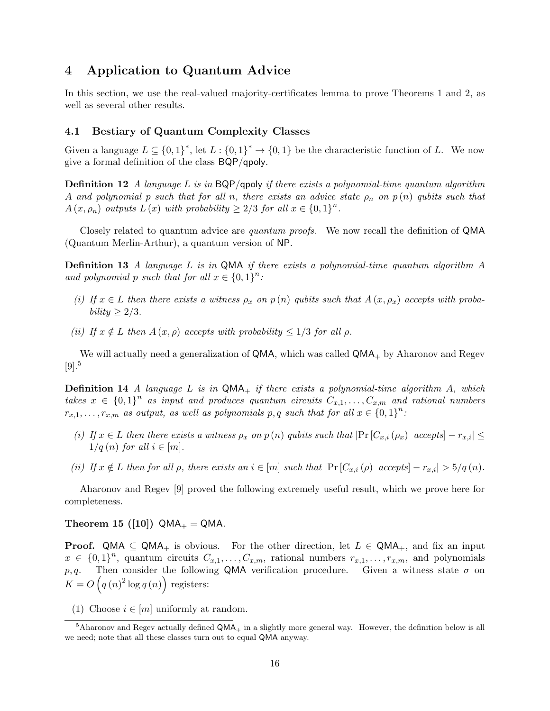# 4 Application to Quantum Advice

In this section, we use the real-valued majority-certificates lemma to prove Theorems 1 and 2, as well as several other results.

### 4.1 Bestiary of Quantum Complexity Classes

Given a language  $L \subseteq \{0,1\}^*$ , let  $L : \{0,1\}^* \to \{0,1\}$  be the characteristic function of L. We now give a formal definition of the class BQP/qpoly.

**Definition 12** A language L is in  $BQP/q$ poly if there exists a polynomial-time quantum algorithm A and polynomial p such that for all n, there exists an advice state  $\rho_n$  on  $p(n)$  qubits such that  $A(x, \rho_n)$  outputs  $L(x)$  with probability  $\geq 2/3$  for all  $x \in \{0,1\}^n$ .

Closely related to quantum advice are *quantum proofs*. We now recall the definition of QMA (Quantum Merlin-Arthur), a quantum version of NP.

**Definition 13** A language L is in QMA if there exists a polynomial-time quantum algorithm  $\overline{A}$ and polynomial p such that for all  $x \in \{0,1\}^n$ :

- (i) If  $x \in L$  then there exists a witness  $\rho_x$  on  $p(n)$  qubits such that  $A(x, \rho_x)$  accepts with proba $bility > 2/3.$
- (ii) If  $x \notin L$  then  $A(x, \rho)$  accepts with probability  $\leq 1/3$  for all  $\rho$ .

We will actually need a generalization of  $QMA$ , which was called  $QMA<sub>+</sub>$  by Aharonov and Regev  $[9]$ <sup>5</sup>

**Definition 14** A language L is in  $QMA_+$  if there exists a polynomial-time algorithm A, which takes  $x \in \{0,1\}^n$  as input and produces quantum circuits  $C_{x,1},\ldots,C_{x,m}$  and rational numbers  $r_{x,1},\ldots,r_{x,m}$  as output, as well as polynomials p, q such that for all  $x \in \{0,1\}^n$ :

- (i) If  $x \in L$  then there exists a witness  $\rho_x$  on  $p(n)$  qubits such that  $|\Pr[C_{x,i}(\rho_x) \text{ accepts}] r_{x,i}| \leq$  $1/q(n)$  for all  $i \in [m]$ .
- (ii) If  $x \notin L$  then for all  $\rho$ , there exists an  $i \in [m]$  such that  $|\Pr[C_{x,i}(\rho) \text{ accepts}] r_{x,i}| > 5/q(n)$ .

Aharonov and Regev [9] proved the following extremely useful result, which we prove here for completeness.

Theorem 15 ([10])  $QMA_{+} = QMA$ .

**Proof.** QMA  $\subseteq$  QMA<sub>+</sub> is obvious. For the other direction, let  $L \in QMA_+$ , and fix an input  $x \in \{0,1\}^n$ , quantum circuits  $C_{x,1},\ldots,C_{x,m}$ , rational numbers  $r_{x,1},\ldots,r_{x,m}$ , and polynomials p, q. Then consider the following QMA verification procedure. Given a witness state  $\sigma$  on  $K = O(q(n)^2 \log q(n))$  registers:

(1) Choose  $i \in [m]$  uniformly at random.

 $5$ Aharonov and Regev actually defined QMA<sub>+</sub> in a slightly more general way. However, the definition below is all we need; note that all these classes turn out to equal QMA anyway.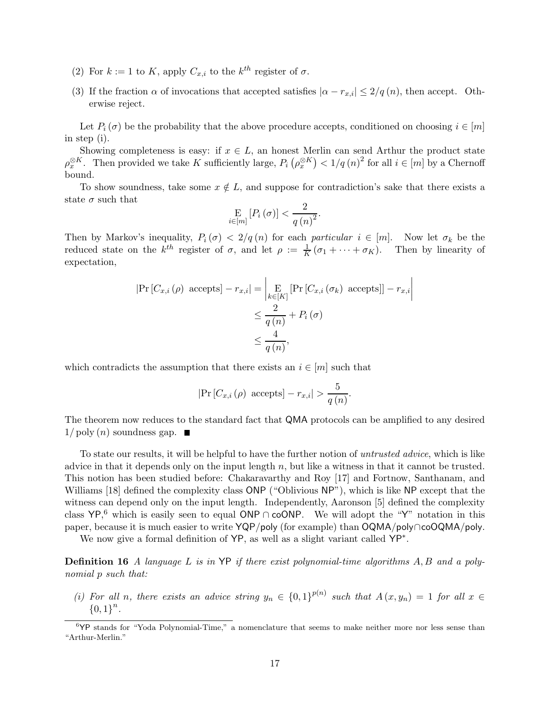- (2) For  $k := 1$  to K, apply  $C_{x,i}$  to the  $k^{th}$  register of  $\sigma$ .
- (3) If the fraction  $\alpha$  of invocations that accepted satisfies  $|\alpha r_{x,i}| \leq 2/q(n)$ , then accept. Otherwise reject.

Let  $P_i(\sigma)$  be the probability that the above procedure accepts, conditioned on choosing  $i \in [m]$ in step (i).

Showing completeness is easy: if  $x \in L$ , an honest Merlin can send Arthur the product state  $\rho_x^{\otimes K}$ . Then provided we take K sufficiently large,  $P_i(\rho_x^{\otimes K}) < 1/q(n)^2$  for all  $i \in [m]$  by a Chernoff bound.

To show soundness, take some  $x \notin L$ , and suppose for contradiction's sake that there exists a state  $\sigma$  such that

$$
\mathop{\mathbf{E}}\limits_{i \in [m]} \left[ P_i \left( \sigma \right) \right] < \frac{2}{q \left( n \right)^2}.
$$

Then by Markov's inequality,  $P_i(\sigma) < 2/q(n)$  for each particular  $i \in [m]$ . Now let  $\sigma_k$  be the reduced state on the  $k^{th}$  register of  $\sigma$ , and let  $\rho := \frac{1}{K}(\sigma_1 + \cdots + \sigma_K)$ . Then by linearity of expectation,

$$
|\Pr[C_{x,i}(\rho) \text{ accepts}] - r_{x,i}| = \left| \underset{k \in [K]}{\underset{k \in [K]}{\mathrm{E}}} [\Pr[C_{x,i}(\sigma_k) \text{ accepts}]] - r_{x,i} \right|
$$
  

$$
\leq \frac{2}{q(n)} + P_i(\sigma)
$$
  

$$
\leq \frac{4}{q(n)},
$$

which contradicts the assumption that there exists an  $i \in [m]$  such that

$$
|\Pr[C_{x,i}(\rho) \text{ accepts}] - r_{x,i}| > \frac{5}{q(n)}.
$$

The theorem now reduces to the standard fact that QMA protocols can be amplified to any desired  $1/\text{poly}(n)$  soundness gap.  $\blacksquare$ 

To state our results, it will be helpful to have the further notion of untrusted advice, which is like advice in that it depends only on the input length  $n$ , but like a witness in that it cannot be trusted. This notion has been studied before: Chakaravarthy and Roy [17] and Fortnow, Santhanam, and Williams [18] defined the complexity class ONP ("Oblivious NP"), which is like NP except that the witness can depend only on the input length. Independently, Aaronson [5] defined the complexity class  $YP,^6$  which is easily seen to equal ONP ∩ coONP. We will adopt the "Y" notation in this paper, because it is much easier to write YQP/poly (for example) than OQMA/poly∩coOQMA/poly.

We now give a formal definition of YP, as well as a slight variant called YP∗.

Definition 16 A language L is in YP if there exist polynomial-time algorithms A, B and a polynomial p such that:

(i) For all n, there exists an advice string  $y_n \in \{0,1\}^{p(n)}$  such that  $A(x,y_n)=1$  for all  $x \in$  ${0,1}^n$ .

 $6\text{YP}$  stands for "Yoda Polynomial-Time," a nomenclature that seems to make neither more nor less sense than "Arthur-Merlin."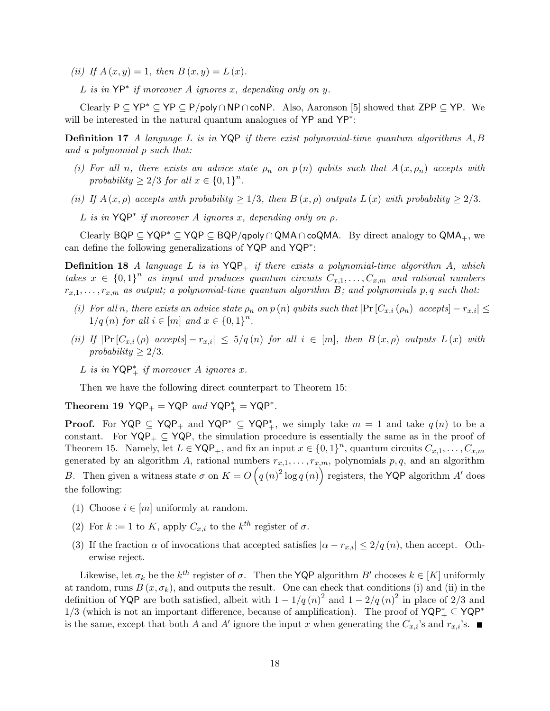(ii) If  $A(x, y) = 1$ , then  $B(x, y) = L(x)$ .

L is in  $YP^*$  if moreover A ignores x, depending only on y.

Clearly  $P \subseteq YP^* \subseteq YP \subseteq P/poly \cap NP \cap coNP$ . Also, Aaronson [5] showed that ZPP  $\subseteq YP$ . We will be interested in the natural quantum analogues of YP and YP∗:

**Definition 17** A language L is in  $YQP$  if there exist polynomial-time quantum algorithms  $A, B$ and a polynomial p such that:

- (i) For all n, there exists an advice state  $\rho_n$  on  $p(n)$  qubits such that  $A(x, \rho_n)$  accepts with probability  $\geq 2/3$  for all  $x \in \{0,1\}^n$ .
- (ii) If  $A(x, \rho)$  accepts with probability  $\geq 1/3$ , then  $B(x, \rho)$  outputs  $L(x)$  with probability  $\geq 2/3$ .

L is in  $YQP^*$  if moreover A ignores x, depending only on  $\rho$ .

Clearly BQP ⊆ YQP<sup>∗</sup> ⊆ YQP ⊆ BQP/qpoly ∩ QMA ∩ coQMA. By direct analogy to QMA<sub>+</sub>, we can define the following generalizations of YQP and YQP∗:

**Definition 18** A language L is in  $YQP_+$  if there exists a polynomial-time algorithm A, which takes  $x \in \{0,1\}^n$  as input and produces quantum circuits  $C_{x,1},\ldots,C_{x,m}$  and rational numbers  $r_{x,1},\ldots,r_{x,m}$  as output; a polynomial-time quantum algorithm B; and polynomials p, q such that:

- (i) For all n, there exists an advice state  $\rho_n$  on p (n) qubits such that  $|\Pr[C_{x,i}(\rho_n) \text{ accepts}] r_{x,i}| \leq$  $1/q(n)$  for all  $i \in [m]$  and  $x \in \{0,1\}^n$ .
- (ii) If  $|\Pr[C_{x,i}(\rho) \text{ accepts}] r_{x,i}| \leq 5/q(n)$  for all  $i \in [m]$ , then  $B(x, \rho)$  outputs  $L(x)$  with probability  $\geq 2/3$ .
	- L is in  $\mathsf{YQP}^*_+$  if moreover A ignores x.

Then we have the following direct counterpart to Theorem 15:

Theorem 19  $YQP_+ = YQP$  and  $YQP_+^* = YQP^*$ .

**Proof.** For  $YQP \subseteq YQP_+$  and  $YQP^* \subseteq YQP_+^*$ , we simply take  $m = 1$  and take  $q(n)$  to be a constant. For  $YQP_+ \subseteq YQP$ , the simulation procedure is essentially the same as in the proof of Theorem 15. Namely, let  $L \in \mathsf{YQP}_+$ , and fix an input  $x \in \{0,1\}^n$ , quantum circuits  $C_{x,1},\ldots,C_{x,m}$ generated by an algorithm A, rational numbers  $r_{x,1},\ldots,r_{x,m}$ , polynomials  $p,q$ , and an algorithm B. Then given a witness state  $\sigma$  on  $K = O(q(n)^2 \log q(n))$  registers, the YQP algorithm A' does the following:

- (1) Choose  $i \in [m]$  uniformly at random.
- (2) For  $k := 1$  to K, apply  $C_{x,i}$  to the  $k^{th}$  register of  $\sigma$ .
- (3) If the fraction  $\alpha$  of invocations that accepted satisfies  $|\alpha r_{x,i}| \leq 2/q(n)$ , then accept. Otherwise reject.

Likewise, let  $\sigma_k$  be the  $k^{th}$  register of  $\sigma$ . Then the **YQP** algorithm B' chooses  $k \in [K]$  uniformly at random, runs  $B(x, \sigma_k)$ , and outputs the result. One can check that conditions (i) and (ii) in the definition of YQP are both satisfied, albeit with  $1 - 1/q(n)^2$  and  $1 - 2/q(n)^2$  in place of 2/3 and 1/3 (which is not an important difference, because of amplification). The proof of  $YQP^* \subseteq YQP^*$ is the same, except that both A and A' ignore the input x when generating the  $C_{x,i}$ 's and  $r_{x,i}$ 's.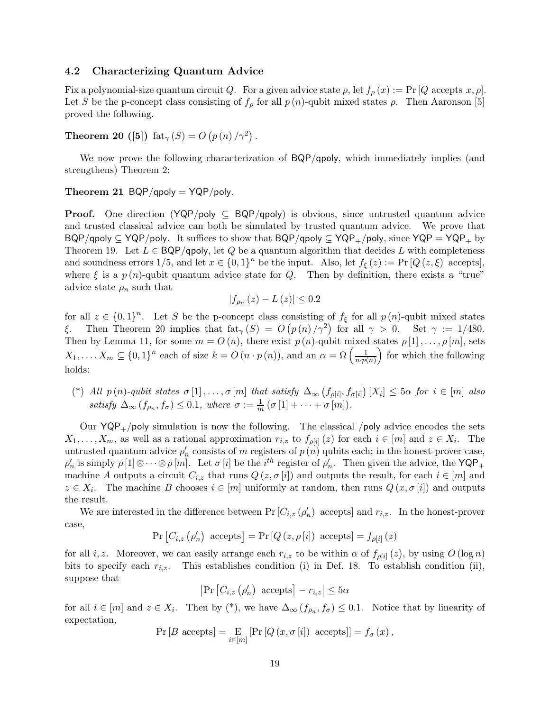### 4.2 Characterizing Quantum Advice

Fix a polynomial-size quantum circuit Q. For a given advice state  $\rho$ , let  $f_{\rho}(x) := \Pr[Q \text{ accepts } x, \rho].$ Let S be the p-concept class consisting of  $f_\rho$  for all  $p(n)$ -qubit mixed states  $\rho$ . Then Aaronson [5] proved the following.

Theorem 20 ([5]) fat<sub> $\gamma$ </sub> (S) =  $O(p(n)/\gamma^2)$ .

We now prove the following characterization of  $BQP/qpoly$ , which immediately implies (and strengthens) Theorem 2:

### Theorem 21  $BQP/qpoly = YQP/poly$ .

**Proof.** One direction ( $YQP/poly \subseteq BQP/qpoly$ ) is obvious, since untrusted quantum advice and trusted classical advice can both be simulated by trusted quantum advice. We prove that BQP/qpoly  $\subset YQP/poly$ . It suffices to show that BQP/qpoly  $\subset YQP_+$ /poly, since  $YQP = YQP_+$  by Theorem 19. Let  $L \in BQP/q$ poly, let Q be a quantum algorithm that decides L with completeness and soundness errors  $1/5$ , and let  $x \in \{0,1\}^n$  be the input. Also, let  $f_{\xi}(z) := \Pr[Q(z,\xi)]$  accepts, where  $\xi$  is a  $p(n)$ -qubit quantum advice state for Q. Then by definition, there exists a "true" advice state  $\rho_n$  such that

$$
|f_{\rho_n}(z) - L(z)| \leq 0.2
$$

for all  $z \in \{0,1\}^n$ . Let S be the p-concept class consisting of  $f_{\xi}$  for all  $p(n)$ -qubit mixed states ξ. Then Theorem 20 implies that  $\text{fat}_{\gamma}(S) = O(p(n)/\gamma^2)$  for all  $\gamma > 0$ . Set  $\gamma := 1/480$ . Then by Lemma 11, for some  $m = O(n)$ , there exist  $p(n)$ -qubit mixed states  $\rho[1], \ldots, \rho[m]$ , sets  $X_1,\ldots,X_m\subseteq\{0,1\}^n$  each of size  $k=O(n\cdot p(n))$ , and an  $\alpha=\Omega\left(\frac{1}{n\cdot p(n)}\right)$  $n \cdot p(n)$ for which the following holds:

(\*) All  $p(n)$ -qubit states  $\sigma[1], \ldots, \sigma[m]$  that satisfy  $\Delta_{\infty} (f_{\rho[i]}, f_{\sigma[i]}) [X_i] \leq 5\alpha$  for  $i \in [m]$  also satisfy  $\Delta_{\infty} (f_{\rho_n}, f_{\sigma}) \leq 0.1$ , where  $\sigma := \frac{1}{m} (\sigma [1] + \cdots + \sigma [m]).$ 

Our  $YQP_+$ /poly simulation is now the following. The classical /poly advice encodes the sets  $X_1,\ldots,X_m$ , as well as a rational approximation  $r_{i,z}$  to  $f_{\rho[i]}(z)$  for each  $i \in [m]$  and  $z \in X_i$ . The untrusted quantum advice  $\rho'_n$  consists of m registers of  $p(n)$  qubits each; in the honest-prover case,  $\rho'_n$  is simply  $\rho[1]\otimes\cdots\otimes\rho[m]$ . Let  $\sigma[i]$  be the  $i^{th}$  register of  $\rho'_n$ . Then given the advice, the YQP<sub>+</sub> machine A outputs a circuit  $C_{i,z}$  that runs  $Q(z, \sigma[i])$  and outputs the result, for each  $i \in [m]$  and  $z \in X_i$ . The machine B chooses  $i \in [m]$  uniformly at random, then runs  $Q(x, \sigma[i])$  and outputs the result.

We are interested in the difference between  $Pr\left[C_{i,z}(\rho'_n) \right]$  accepts and  $r_{i,z}$ . In the honest-prover case,

$$
Pr[C_{i,z}(\rho'_n) \text{ accepts}] = Pr[Q(z, \rho[i]) \text{ accepts}] = f_{\rho[i]}(z)
$$

for all i, z. Moreover, we can easily arrange each  $r_{i,z}$  to be within  $\alpha$  of  $f_{\rho[i]}(z)$ , by using  $O(\log n)$ bits to specify each  $r_{i,z}$ . This establishes condition (i) in Def. 18. To establish condition (ii), suppose that

 $\left|\Pr\left[C_{i,z}\left(\rho_{n}'\right)\right.\right]$  accepts $\left]-r_{i,z}\right| \leq 5\alpha$ 

for all  $i \in [m]$  and  $z \in X_i$ . Then by (\*), we have  $\Delta_{\infty}(f_{\rho_n}, f_{\sigma}) \leq 0.1$ . Notice that by linearity of expectation,

$$
\Pr[B \text{ accepts}] = \mathop{\mathbf{E}}_{i \in [m]} [\Pr[Q(x, \sigma[i]) \text{ accepts}]] = f_{\sigma}(x),
$$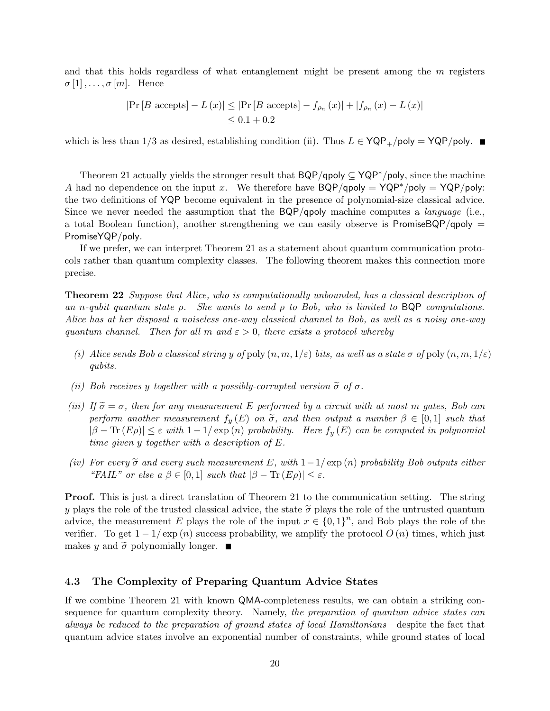and that this holds regardless of what entanglement might be present among the  $m$  registers  $\sigma[1], \ldots, \sigma[m]$ . Hence

$$
|\Pr[B \text{ accepts}] - L(x)| \leq |\Pr[B \text{ accepts}] - f_{\rho_n}(x)| + |f_{\rho_n}(x) - L(x)|
$$
  
 $\leq 0.1 + 0.2$ 

which is less than  $1/3$  as desired, establishing condition (ii). Thus  $L \in YQP_+ / poly = YQP / poly$ .

Theorem 21 actually yields the stronger result that BQP/qpoly ⊆ YQP∗/poly, since the machine A had no dependence on the input x. We therefore have  $BQP/qpoly = YQP^*/poly = YQP/poly$ : the two definitions of YQP become equivalent in the presence of polynomial-size classical advice. Since we never needed the assumption that the  $BQP/qpoly$  machine computes a *language* (i.e., a total Boolean function), another strengthening we can easily observe is PromiseBQP/qpoly  $=$ PromiseYQP/poly.

If we prefer, we can interpret Theorem 21 as a statement about quantum communication protocols rather than quantum complexity classes. The following theorem makes this connection more precise.

Theorem 22 Suppose that Alice, who is computationally unbounded, has a classical description of an n-qubit quantum state  $\rho$ . She wants to send  $\rho$  to Bob, who is limited to BQP computations. Alice has at her disposal a noiseless one-way classical channel to Bob, as well as a noisy one-way quantum channel. Then for all m and  $\varepsilon > 0$ , there exists a protocol whereby

- (i) Alice sends Bob a classical string y of poly  $(n, m, 1/\varepsilon)$  bits, as well as a state  $\sigma$  of poly  $(n, m, 1/\varepsilon)$ qubits.
- (ii) Bob receives y together with a possibly-corrupted version  $\tilde{\sigma}$  of  $\sigma$ .
- (iii) If  $\tilde{\sigma} = \sigma$ , then for any measurement E performed by a circuit with at most m gates, Bob can perform another measurement  $f_y(E)$  on  $\tilde{\sigma}$ , and then output a number  $\beta \in [0,1]$  such that  $|\beta - \text{Tr}(E\rho)| \leq \varepsilon$  with  $1 - 1/\exp(n)$  probability. Here  $f_y(E)$  can be computed in polynomial time given y together with a description of E.
- (iv) For every  $\tilde{\sigma}$  and every such measurement E, with  $1-1/\exp(n)$  probability Bob outputs either "FAIL" or else  $a \beta \in [0,1]$  such that  $|\beta - \text{Tr}(E\rho)| \leq \varepsilon$ .

Proof. This is just a direct translation of Theorem 21 to the communication setting. The string y plays the role of the trusted classical advice, the state  $\tilde{\sigma}$  plays the role of the untrusted quantum advice, the measurement E plays the role of the input  $x \in \{0,1\}^n$ , and Bob plays the role of the verifier. To get  $1 - 1/\exp(n)$  success probability, we amplify the protocol  $O(n)$  times, which just makes y and  $\tilde{\sigma}$  polynomially longer.

### 4.3 The Complexity of Preparing Quantum Advice States

If we combine Theorem 21 with known QMA-completeness results, we can obtain a striking consequence for quantum complexity theory. Namely, the preparation of quantum advice states can always be reduced to the preparation of ground states of local Hamiltonians—despite the fact that quantum advice states involve an exponential number of constraints, while ground states of local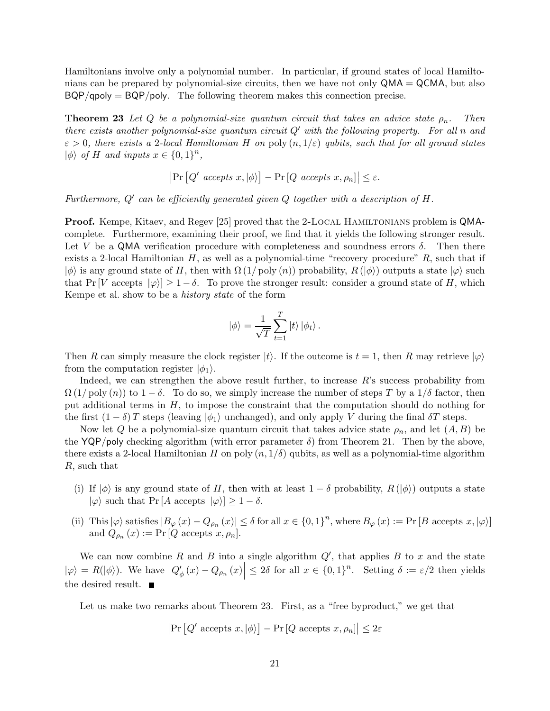Hamiltonians involve only a polynomial number. In particular, if ground states of local Hamiltonians can be prepared by polynomial-size circuits, then we have not only  $QMA = QCMA$ , but also  $BQP/qpoly = BQP/poly$ . The following theorem makes this connection precise.

**Theorem 23** Let Q be a polynomial-size quantum circuit that takes an advice state  $\rho_n$ . Then there exists another polynomial-size quantum circuit  $Q'$  with the following property. For all n and  $\varepsilon > 0$ , there exists a 2-local Hamiltonian H on poly  $(n, 1/\varepsilon)$  qubits, such that for all ground states  $|\phi\rangle$  of H and inputs  $x \in \{0,1\}^n$ ,

$$
|\Pr\left[Q'\text{ accepts }x, |\phi\rangle\right] - \Pr\left[Q\text{ accepts }x, \rho_n\right]| \leq \varepsilon.
$$

Furthermore,  $Q'$  can be efficiently generated given Q together with a description of  $H$ .

Proof. Kempe, Kitaev, and Regev [25] proved that the 2-LOCAL HAMILTONIANS problem is QMAcomplete. Furthermore, examining their proof, we find that it yields the following stronger result. Let V be a QMA verification procedure with completeness and soundness errors  $\delta$ . Then there exists a 2-local Hamiltonian  $H$ , as well as a polynomial-time "recovery procedure"  $R$ , such that if  $|\phi\rangle$  is any ground state of H, then with  $\Omega(1/\text{poly}(n))$  probability,  $R(|\phi\rangle)$  outputs a state  $|\varphi\rangle$  such that Pr [V accepts  $|\varphi\rangle \geq 1-\delta$ . To prove the stronger result: consider a ground state of H, which Kempe et al. show to be a history state of the form

$$
|\phi\rangle = \frac{1}{\sqrt{T}} \sum_{t=1}^{T} |t\rangle |\phi_t\rangle.
$$

Then R can simply measure the clock register  $|t\rangle$ . If the outcome is  $t = 1$ , then R may retrieve  $|\varphi\rangle$ from the computation register  $|\phi_1\rangle$ .

Indeed, we can strengthen the above result further, to increase R's success probability from  $\Omega(1/\text{poly}(n))$  to  $1-\delta$ . To do so, we simply increase the number of steps T by a  $1/\delta$  factor, then put additional terms in  $H$ , to impose the constraint that the computation should do nothing for the first  $(1 - \delta)T$  steps (leaving  $|\phi_1\rangle$  unchanged), and only apply V during the final  $\delta T$  steps.

Now let Q be a polynomial-size quantum circuit that takes advice state  $\rho_n$ , and let  $(A, B)$  be the YQP/poly checking algorithm (with error parameter  $\delta$ ) from Theorem 21. Then by the above, there exists a 2-local Hamiltonian H on poly  $(n, 1/\delta)$  qubits, as well as a polynomial-time algorithm R, such that

- (i) If  $|\phi\rangle$  is any ground state of H, then with at least  $1 \delta$  probability,  $R(|\phi\rangle)$  outputs a state  $|\varphi\rangle$  such that Pr [A accepts  $|\varphi\rangle \geq 1 - \delta$ .
- (ii) This  $|\varphi\rangle$  satisfies  $|B_{\varphi}(x) Q_{\rho_n}(x)| \leq \delta$  for all  $x \in \{0,1\}^n$ , where  $B_{\varphi}(x) := \Pr[B \text{ accepts } x, |\varphi\rangle]$ and  $Q_{\rho_n}(x) := \Pr[Q \text{ accepts } x, \rho_n].$

We can now combine R and B into a single algorithm  $Q'$ , that applies B to x and the state  $|\varphi\rangle = R(|\phi\rangle)$ . We have  $|Q'_{\phi}(x) - Q_{\rho_n}(x)| \leq 2\delta$  for all  $x \in \{0,1\}^n$ . Setting  $\delta := \varepsilon/2$  then yields the desired result.

Let us make two remarks about Theorem 23. First, as a "free byproduct," we get that

$$
\left|\Pr\left[Q'\text{ accepts }x, |\phi\rangle\right] - \Pr\left[Q\text{ accepts }x, \rho_n\right]\right| \leq 2\varepsilon
$$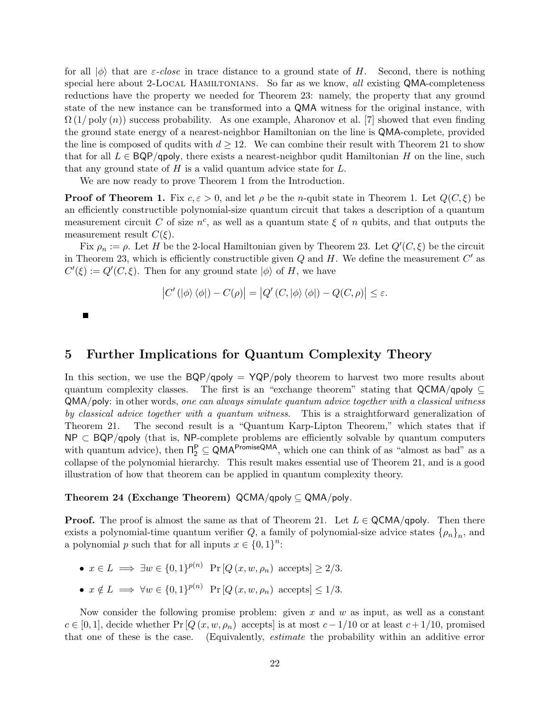for all  $|\phi\rangle$  that are *ε-close* in trace distance to a ground state of H. Second, there is nothing special here about 2-LOCAL HAMILTONIANS. So far as we know, all existing QMA-completeness reductions have the property we needed for Theorem 23: namely, the property that any ground state of the new instance can be transformed into a QMA witness for the original instance, with  $\Omega(1/\text{poly}(n))$  success probability. As one example, Aharonov et al. [7] showed that even finding the ground state energy of a nearest-neighbor Hamiltonian on the line is QMA-complete, provided the line is composed of qudits with  $d \geq 12$ . We can combine their result with Theorem 21 to show that for all  $L \in BQP/q$  poly, there exists a nearest-neighbor qudit Hamiltonian H on the line, such that any ground state of  $H$  is a valid quantum advice state for  $L$ .

We are now ready to prove Theorem 1 from the Introduction.

**Proof of Theorem 1.** Fix  $c, \epsilon > 0$ , and let  $\rho$  be the *n*-qubit state in Theorem 1. Let  $Q(C, \xi)$  be an efficiently constructible polynomial-size quantum circuit that takes a description of a quantum measurement circuit C of size  $n^c$ , as well as a quantum state  $\xi$  of n qubits, and that outputs the measurement result  $C(\xi)$ .

Fix  $\rho_n := \rho$ . Let H be the 2-local Hamiltonian given by Theorem 23. Let  $Q'(C, \xi)$  be the circuit in Theorem 23, which is efficiently constructible given  $Q$  and  $H$ . We define the measurement  $C'$  as  $C'(\xi) := Q'(C, \xi)$ . Then for any ground state  $|\phi\rangle$  of H, we have

$$
\left|C'\left(|\phi\rangle\left\langle\phi\right|\right)-C(\rho)\right|=\left|Q'\left(C,|\phi\rangle\left\langle\phi\right|\right)-Q(C,\rho)\right|\leq\varepsilon.
$$

 $\blacksquare$ 

# 5 Further Implications for Quantum Complexity Theory

In this section, we use the  $BQP/qpoly = YQP/poly$  theorem to harvest two more results about quantum complexity classes. The first is an "exchange theorem" stating that  $\mathsf{QCMA/qpoly} \subseteq$ QMA/poly: in other words, one can always simulate quantum advice together with a classical witness by classical advice together with a quantum witness. This is a straightforward generalization of Theorem 21. The second result is a "Quantum Karp-Lipton Theorem," which states that if NP ⊂ BQP/qpoly (that is, NP-complete problems are efficiently solvable by quantum computers with quantum advice), then  $\Pi_2^P \subseteq QMA^{PromiseQMA}$ , which one can think of as "almost as bad" as a collapse of the polynomial hierarchy. This result makes essential use of Theorem 21, and is a good illustration of how that theorem can be applied in quantum complexity theory.

### Theorem 24 (Exchange Theorem) QCMA/qpoly  $\subseteq QMA/poly$ .

**Proof.** The proof is almost the same as that of Theorem 21. Let  $L \in \mathsf{QCMA/qpoly}$ . Then there exists a polynomial-time quantum verifier Q, a family of polynomial-size advice states  $\{\rho_n\}_n$ , and a polynomial p such that for all inputs  $x \in \{0,1\}^n$ :

- $x \in L \implies \exists w \in \{0,1\}^{p(n)}$  Pr  $[Q(x, w, \rho_n)$  accepts  $] > 2/3$ .
- $x \notin L \implies \forall w \in \{0,1\}^{p(n)}$  Pr  $[Q(x, w, \rho_n)$  accepts $] \leq 1/3$ .

Now consider the following promise problem: given x and  $w$  as input, as well as a constant  $c \in [0,1],$  decide whether Pr [Q  $(x, w, \rho_n)$  accepts] is at most  $c - 1/10$  or at least  $c + 1/10$ , promised that one of these is the case. (Equivalently, estimate the probability within an additive error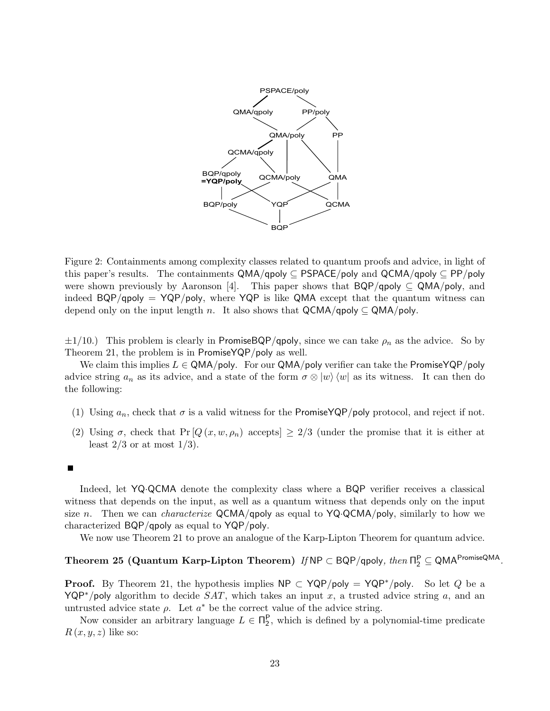

Figure 2: Containments among complexity classes related to quantum proofs and advice, in light of this paper's results. The containments  $QMA/qpoly \subseteq PSPACE/poly$  and  $QCMA/qpoly \subseteq PP/poly$ were shown previously by Aaronson [4]. This paper shows that  $BQP/qpoly \subseteq QMA/poly$ , and indeed  $BQP/qpoly = YQP/poly$ , where  $YQP$  is like QMA except that the quantum witness can depend only on the input length n. It also shows that  $QCMA/qpoly \subseteq QMA/poly$ .

 $\pm 1/10$ .) This problem is clearly in PromiseBQP/qpoly, since we can take  $\rho_n$  as the advice. So by Theorem 21, the problem is in PromiseYQP/poly as well.

We claim this implies  $L \in \mathsf{QMA/poly}$ . For our  $\mathsf{QMA/poly}$  verifier can take the PromiseYQP/poly advice string  $a_n$  as its advice, and a state of the form  $\sigma \otimes |w\rangle \langle w|$  as its witness. It can then do the following:

- (1) Using  $a_n$ , check that  $\sigma$  is a valid witness for the PromiseYQP/poly protocol, and reject if not.
- (2) Using  $\sigma$ , check that Pr [ $Q(x, w, \rho_n)$  accepts]  $\geq 2/3$  (under the promise that it is either at least  $2/3$  or at most  $1/3$ .
- П

Indeed, let YQ·QCMA denote the complexity class where a BQP verifier receives a classical witness that depends on the input, as well as a quantum witness that depends only on the input size n. Then we can *characterize* QCMA/qpoly as equal to  $YQ \cdot QCMA/poly$ , similarly to how we characterized BQP/qpoly as equal to YQP/poly.

We now use Theorem 21 to prove an analogue of the Karp-Lipton Theorem for quantum advice.

# Theorem 25 (Quantum Karp-Lipton Theorem)  $\textit{If} \, \textsf{NP} \subset \textsf{BQP/qpoly}, \, \textit{then} \, \Pi^{\textsf{P}}_2 \subseteq \textsf{QMA}^{\textsf{PromiseQMA}}.$

**Proof.** By Theorem 21, the hypothesis implies  $NP \subset YQP/poly = YQP*/poly$ . So let Q be a YQP<sup>\*</sup>/poly algorithm to decide  $SAT$ , which takes an input x, a trusted advice string a, and an untrusted advice state  $\rho$ . Let  $a^*$  be the correct value of the advice string.

Now consider an arbitrary language  $L \in \Pi_2^P$ , which is defined by a polynomial-time predicate  $R(x, y, z)$  like so: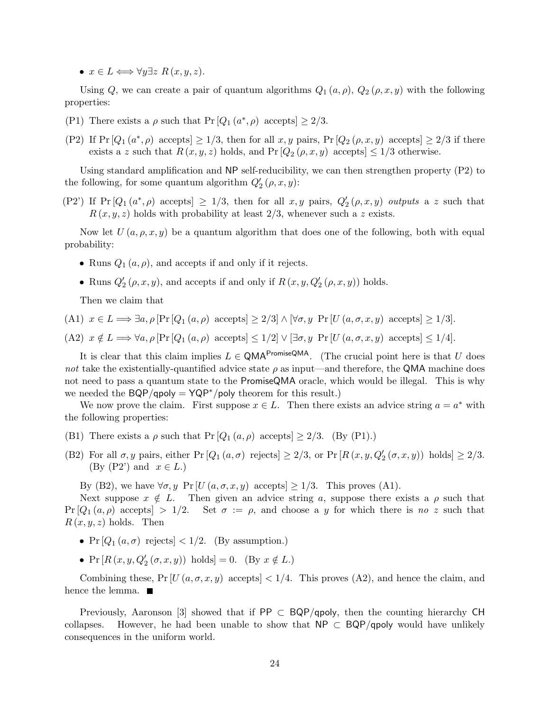•  $x \in L \Longleftrightarrow \forall y \exists z \ R(x, y, z).$ 

Using Q, we can create a pair of quantum algorithms  $Q_1(a, \rho)$ ,  $Q_2(\rho, x, y)$  with the following properties:

- (P1) There exists a  $\rho$  such that Pr  $[Q_1(a^*, \rho)$  accepts  $] \geq 2/3$ .
- (P2) If  $Pr [Q_1 (a^*, \rho) \text{ accepts}] \geq 1/3$ , then for all  $x, y$  pairs,  $Pr [Q_2 (\rho, x, y) \text{ accepts}] \geq 2/3$  if there exists a z such that  $R(x, y, z)$  holds, and  $Pr[Q_2(\rho, x, y)]$  accepts  $\leq 1/3$  otherwise.

Using standard amplification and NP self-reducibility, we can then strengthen property (P2) to the following, for some quantum algorithm  $Q'_2(p, x, y)$ :

(P2') If  $Pr[Q_1(a^*, \rho)$  accepts  $\geq 1/3$ , then for all  $x, y$  pairs,  $Q'_2(\rho, x, y)$  outputs a z such that  $R(x, y, z)$  holds with probability at least 2/3, whenever such a z exists.

Now let  $U(a, \rho, x, y)$  be a quantum algorithm that does one of the following, both with equal probability:

- Runs  $Q_1(a, \rho)$ , and accepts if and only if it rejects.
- Runs  $Q'_2(\rho, x, y)$ , and accepts if and only if  $R(x, y, Q'_2(\rho, x, y))$  holds.

Then we claim that

(A1)  $x \in L \Longrightarrow \exists a, \rho \left[ \Pr\left[Q_1(a, \rho) \right] \text{ accepts} \right] \geq 2/3 \land \forall \sigma, y \Pr\left[ U(a, \sigma, x, y) \right] \text{ accepts} \geq 1/3.$ 

(A2)  $x \notin L \Longrightarrow \forall a, \rho [\Pr[Q_1(a, \rho) \text{ accepts}] \leq 1/2] \lor [\exists \sigma, y \Pr[U(a, \sigma, x, y) \text{ accepts}] \leq 1/4].$ 

It is clear that this claim implies  $L \in QMA^{PromiseQMA}$ . (The crucial point here is that U does not take the existentially-quantified advice state  $\rho$  as input—and therefore, the QMA machine does not need to pass a quantum state to the PromiseQMA oracle, which would be illegal. This is why we needed the  $BQP/qpoly = YQP^*/poly$  theorem for this result.)

We now prove the claim. First suppose  $x \in L$ . Then there exists an advice string  $a = a^*$  with the following properties:

- (B1) There exists a  $\rho$  such that  $Pr[Q_1(a, \rho)$  accepts]  $\geq 2/3$ . (By (P1).)
- (B2) For all  $\sigma, y$  pairs, either Pr  $[Q_1(a, \sigma)$  rejects  $] \geq 2/3$ , or Pr  $[R(x, y, Q_2'(\sigma, x, y))$  holds  $] \geq 2/3$ .  $(By (P2') \text{ and } x \in L)$

By (B2), we have  $\forall \sigma, y \Pr[U(a, \sigma, x, y)]$  accepts  $\geq 1/3$ . This proves (A1).

Next suppose  $x \notin L$ . Then given an advice string a, suppose there exists a  $\rho$  such that  $Pr[Q_1(a, \rho)$  accepts  $> 1/2$ . Set  $\sigma := \rho$ , and choose a y for which there is no z such that  $R(x, y, z)$  holds. Then

- Pr  $[Q_1(a, \sigma)$  rejects  $] < 1/2$ . (By assumption.)
- Pr  $[R(x, y, Q'_{2}(\sigma, x, y)) \text{ holds}] = 0.$  (By  $x \notin L$ .)

Combining these,  $Pr[U(a, \sigma, x, y)]$  accepts  $|1/4$ . This proves  $(A2)$ , and hence the claim, and hence the lemma.  $\blacksquare$ 

Previously, Aaronson [3] showed that if PP  $\subset$  BQP/qpoly, then the counting hierarchy CH collapses. However, he had been unable to show that NP  $\subset$  BQP/qpoly would have unlikely However, he had been unable to show that  $NP \subset BQP/q$  poly would have unlikely consequences in the uniform world.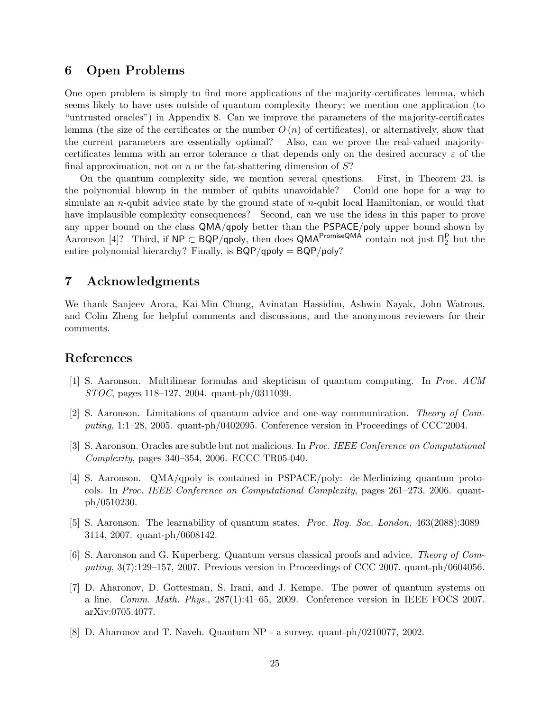# 6 Open Problems

One open problem is simply to find more applications of the majority-certificates lemma, which seems likely to have uses outside of quantum complexity theory; we mention one application (to "untrusted oracles") in Appendix 8. Can we improve the parameters of the majority-certificates lemma (the size of the certificates or the number  $O(n)$ ) of certificates), or alternatively, show that the current parameters are essentially optimal? Also, can we prove the real-valued majoritycertificates lemma with an error tolerance  $\alpha$  that depends only on the desired accuracy  $\varepsilon$  of the final approximation, not on n or the fat-shattering dimension of  $S$ ?

On the quantum complexity side, we mention several questions. First, in Theorem 23, is the polynomial blowup in the number of qubits unavoidable? Could one hope for a way to simulate an *n*-qubit advice state by the ground state of *n*-qubit local Hamiltonian, or would that have implausible complexity consequences? Second, can we use the ideas in this paper to prove any upper bound on the class QMA/qpoly better than the PSPACE/poly upper bound shown by Aaronson [4]? Third, if  $NP \subset BQP/q$ poly, then does QMA<sup>PromiseQMA</sup> contain not just  $\Pi_2^P$  but the entire polynomial hierarchy? Finally, is BQP/qpoly = BQP/poly?

# 7 Acknowledgments

We thank Sanjeev Arora, Kai-Min Chung, Avinatan Hassidim, Ashwin Nayak, John Watrous, and Colin Zheng for helpful comments and discussions, and the anonymous reviewers for their comments.

## References

- [1] S. Aaronson. Multilinear formulas and skepticism of quantum computing. In Proc. ACM STOC, pages 118–127, 2004. quant-ph/0311039.
- [2] S. Aaronson. Limitations of quantum advice and one-way communication. Theory of Computing, 1:1–28, 2005. quant-ph/0402095. Conference version in Proceedings of CCC'2004.
- [3] S. Aaronson. Oracles are subtle but not malicious. In Proc. IEEE Conference on Computational Complexity, pages 340–354, 2006. ECCC TR05-040.
- [4] S. Aaronson. QMA/qpoly is contained in PSPACE/poly: de-Merlinizing quantum protocols. In Proc. IEEE Conference on Computational Complexity, pages 261–273, 2006. quantph/0510230.
- [5] S. Aaronson. The learnability of quantum states. Proc. Roy. Soc. London, 463(2088):3089– 3114, 2007. quant-ph/0608142.
- [6] S. Aaronson and G. Kuperberg. Quantum versus classical proofs and advice. Theory of Computing, 3(7):129–157, 2007. Previous version in Proceedings of CCC 2007. quant-ph/0604056.
- [7] D. Aharonov, D. Gottesman, S. Irani, and J. Kempe. The power of quantum systems on a line. Comm. Math. Phys., 287(1):41–65, 2009. Conference version in IEEE FOCS 2007. arXiv:0705.4077.
- [8] D. Aharonov and T. Naveh. Quantum NP a survey. quant-ph/0210077, 2002.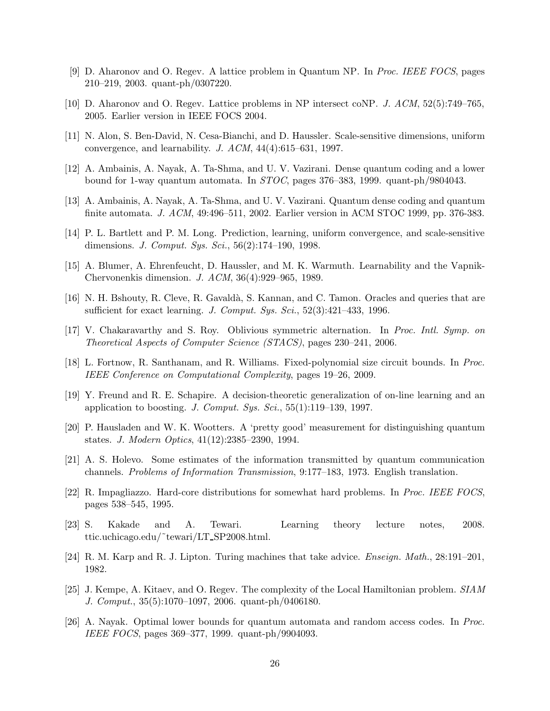- [9] D. Aharonov and O. Regev. A lattice problem in Quantum NP. In Proc. IEEE FOCS, pages 210–219, 2003. quant-ph/0307220.
- [10] D. Aharonov and O. Regev. Lattice problems in NP intersect coNP. J. ACM, 52(5):749–765, 2005. Earlier version in IEEE FOCS 2004.
- [11] N. Alon, S. Ben-David, N. Cesa-Bianchi, and D. Haussler. Scale-sensitive dimensions, uniform convergence, and learnability. J. ACM, 44(4):615–631, 1997.
- [12] A. Ambainis, A. Nayak, A. Ta-Shma, and U. V. Vazirani. Dense quantum coding and a lower bound for 1-way quantum automata. In STOC, pages 376–383, 1999. quant-ph/9804043.
- [13] A. Ambainis, A. Nayak, A. Ta-Shma, and U. V. Vazirani. Quantum dense coding and quantum finite automata. J. ACM, 49:496–511, 2002. Earlier version in ACM STOC 1999, pp. 376-383.
- [14] P. L. Bartlett and P. M. Long. Prediction, learning, uniform convergence, and scale-sensitive dimensions. J. Comput. Sys. Sci., 56(2):174–190, 1998.
- [15] A. Blumer, A. Ehrenfeucht, D. Haussler, and M. K. Warmuth. Learnability and the Vapnik-Chervonenkis dimension. J. ACM, 36(4):929–965, 1989.
- [16] N. H. Bshouty, R. Cleve, R. Gavaldà, S. Kannan, and C. Tamon. Oracles and queries that are sufficient for exact learning. J. Comput. Sys. Sci.,  $52(3):421-433$ , 1996.
- [17] V. Chakaravarthy and S. Roy. Oblivious symmetric alternation. In Proc. Intl. Symp. on Theoretical Aspects of Computer Science (STACS), pages 230–241, 2006.
- [18] L. Fortnow, R. Santhanam, and R. Williams. Fixed-polynomial size circuit bounds. In Proc. IEEE Conference on Computational Complexity, pages 19–26, 2009.
- [19] Y. Freund and R. E. Schapire. A decision-theoretic generalization of on-line learning and an application to boosting. J. Comput. Sys. Sci.,  $55(1):119-139$ , 1997.
- [20] P. Hausladen and W. K. Wootters. A 'pretty good' measurement for distinguishing quantum states. J. Modern Optics, 41(12):2385–2390, 1994.
- [21] A. S. Holevo. Some estimates of the information transmitted by quantum communication channels. Problems of Information Transmission, 9:177–183, 1973. English translation.
- [22] R. Impagliazzo. Hard-core distributions for somewhat hard problems. In Proc. IEEE FOCS, pages 538–545, 1995.
- [23] S. Kakade and A. Tewari. Learning theory lecture notes, 2008. ttic.uchicago.edu/˜tewari/LT SP2008.html.
- [24] R. M. Karp and R. J. Lipton. Turing machines that take advice. Enseign. Math., 28:191–201, 1982.
- [25] J. Kempe, A. Kitaev, and O. Regev. The complexity of the Local Hamiltonian problem. SIAM J. Comput., 35(5):1070–1097, 2006. quant-ph/0406180.
- [26] A. Nayak. Optimal lower bounds for quantum automata and random access codes. In Proc. IEEE FOCS, pages 369–377, 1999. quant-ph/9904093.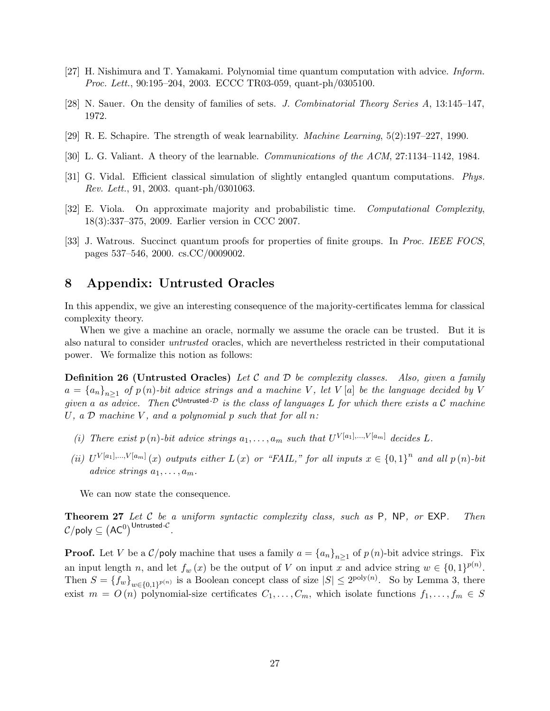- [27] H. Nishimura and T. Yamakami. Polynomial time quantum computation with advice. Inform. Proc. Lett., 90:195–204, 2003. ECCC TR03-059, quant-ph/0305100.
- [28] N. Sauer. On the density of families of sets. J. Combinatorial Theory Series A, 13:145–147, 1972.
- [29] R. E. Schapire. The strength of weak learnability. Machine Learning, 5(2):197–227, 1990.
- [30] L. G. Valiant. A theory of the learnable. Communications of the ACM, 27:1134–1142, 1984.
- [31] G. Vidal. Efficient classical simulation of slightly entangled quantum computations. Phys. Rev. Lett., 91, 2003. quant-ph/0301063.
- [32] E. Viola. On approximate majority and probabilistic time. Computational Complexity, 18(3):337–375, 2009. Earlier version in CCC 2007.
- [33] J. Watrous. Succinct quantum proofs for properties of finite groups. In Proc. IEEE FOCS, pages 537–546, 2000. cs.CC/0009002.

# 8 Appendix: Untrusted Oracles

In this appendix, we give an interesting consequence of the majority-certificates lemma for classical complexity theory.

When we give a machine an oracle, normally we assume the oracle can be trusted. But it is also natural to consider untrusted oracles, which are nevertheless restricted in their computational power. We formalize this notion as follows:

**Definition 26 (Untrusted Oracles)** Let C and D be complexity classes. Also, given a family  $a = {a_n}_{n>1}$  of  $p(n)$ -bit advice strings and a machine V, let V [a] be the language decided by V given a as advice. Then  $\mathcal{C}^{\mathsf{Untrusted-}\mathcal{D}}$  is the class of languages L for which there exists a C machine U, a  $\mathcal D$  machine V, and a polynomial p such that for all n:

- (i) There exist  $p(n)$ -bit advice strings  $a_1, \ldots, a_m$  such that  $U^{V[a_1], \ldots, V[a_m]}$  decides L.
- (ii)  $U^{V[a_1],...,V[a_m]}(x)$  outputs either  $L(x)$  or "FAIL," for all inputs  $x \in \{0,1\}^n$  and all  $p(n)$ -bit advice strings  $a_1, \ldots, a_m$ .

We can now state the consequence.

**Theorem 27** Let C be a uniform syntactic complexity class, such as  $P$ ,  $NP$ , or  $EXP$ . Then  $\mathcal{C}/\mathsf{poly} \subseteq \left(\mathsf{AC}^0\right)^{\mathsf{Untrusted-}\mathcal{C}}.$ 

**Proof.** Let V be a  $\mathcal{C}/\text{poly}$  machine that uses a family  $a = \{a_n\}_{n>1}$  of  $p(n)$ -bit advice strings. Fix an input length n, and let  $f_w(x)$  be the output of V on input x and advice string  $w \in \{0,1\}^{p(n)}$ . Then  $S = \{f_w\}_{w \in \{0,1\}^{p(n)}}$  is a Boolean concept class of size  $|S| \leq 2^{poly(n)}$ . So by Lemma 3, there exist  $m = O(n)$  polynomial-size certificates  $C_1, \ldots, C_m$ , which isolate functions  $f_1, \ldots, f_m \in S$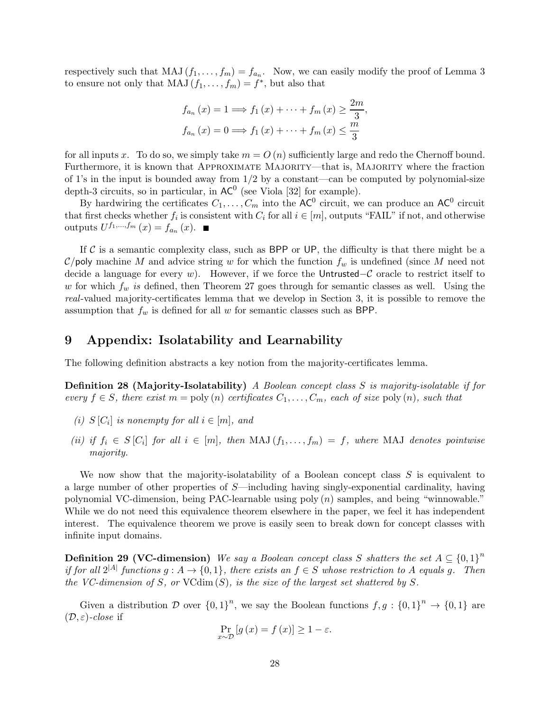respectively such that MAJ  $(f_1,\ldots,f_m) = f_{a_n}$ . Now, we can easily modify the proof of Lemma 3 to ensure not only that MAJ  $(f_1, \ldots, f_m) = f^*$ , but also that

$$
f_{a_n}(x) = 1 \Longrightarrow f_1(x) + \cdots + f_m(x) \ge \frac{2m}{3},
$$
  

$$
f_{a_n}(x) = 0 \Longrightarrow f_1(x) + \cdots + f_m(x) \le \frac{m}{3}
$$

for all inputs x. To do so, we simply take  $m = O(n)$  sufficiently large and redo the Chernoff bound. Furthermore, it is known that APPROXIMATE MAJORITY—that is, MAJORITY where the fraction of 1's in the input is bounded away from  $1/2$  by a constant—can be computed by polynomial-size depth-3 circuits, so in particular, in  $AC^0$  (see Viola [32] for example).

By hardwiring the certificates  $C_1,\ldots,C_m$  into the AC<sup>0</sup> circuit, we can produce an AC<sup>0</sup> circuit that first checks whether  $f_i$  is consistent with  $C_i$  for all  $i \in [m]$ , outputs "FAIL" if not, and otherwise outputs  $U^{f_1,...,f_m}(x) = f_{a_n}(x)$ .

If  $\mathcal C$  is a semantic complexity class, such as BPP or UP, the difficulty is that there might be a  $\mathcal{C}/\mathsf{poly}$  machine M and advice string w for which the function  $f_w$  is undefined (since M need not decide a language for every w). However, if we force the Untrusted–C oracle to restrict itself to w for which  $f_w$  is defined, then Theorem 27 goes through for semantic classes as well. Using the real-valued majority-certificates lemma that we develop in Section 3, it is possible to remove the assumption that  $f_w$  is defined for all w for semantic classes such as BPP.

# 9 Appendix: Isolatability and Learnability

The following definition abstracts a key notion from the majority-certificates lemma.

Definition 28 (Majority-Isolatability) A Boolean concept class S is majority-isolatable if for every  $f \in S$ , there exist  $m = \text{poly}(n)$  certificates  $C_1, \ldots, C_m$ , each of size  $\text{poly}(n)$ , such that

- (i)  $S[C_i]$  is nonempty for all  $i \in [m]$ , and
- (ii) if  $f_i \in S[C_i]$  for all  $i \in [m]$ , then  $\text{MAJ}(f_1, \ldots, f_m) = f$ , where  $\text{MAJ}$  denotes pointwise majority.

We now show that the majority-isolatability of a Boolean concept class S is equivalent to a large number of other properties of S—including having singly-exponential cardinality, having polynomial VC-dimension, being PAC-learnable using poly (n) samples, and being "winnowable." While we do not need this equivalence theorem elsewhere in the paper, we feel it has independent interest. The equivalence theorem we prove is easily seen to break down for concept classes with infinite input domains.

**Definition 29 (VC-dimension)** We say a Boolean concept class S shatters the set  $A \subseteq \{0,1\}^n$ if for all  $2^{|A|}$  functions  $g : A \to \{0,1\}$ , there exists an  $f \in S$  whose restriction to A equals g. Then the VC-dimension of S, or VC $\dim(S)$ , is the size of the largest set shattered by S.

Given a distribution D over  ${0,1}^n$ , we say the Boolean functions  $f,g: {0,1}^n \rightarrow {0,1}$  are  $(\mathcal{D}, \varepsilon)$ -close if

$$
\Pr_{x \sim \mathcal{D}}\left[g\left(x\right) = f\left(x\right)\right] \ge 1 - \varepsilon.
$$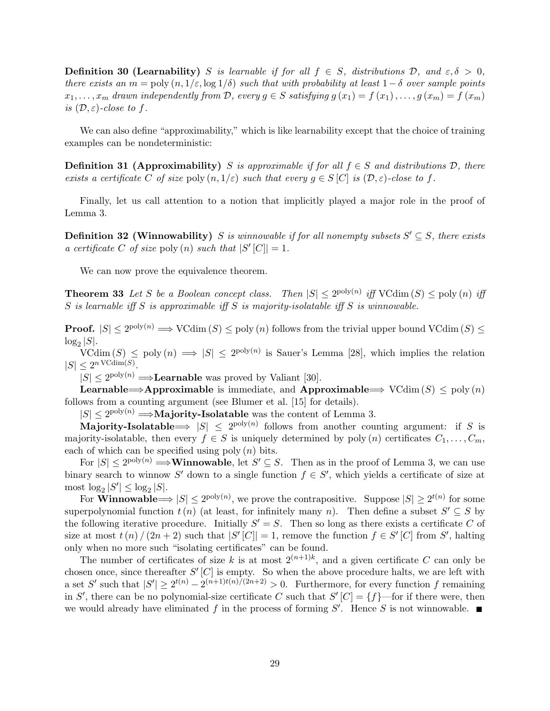**Definition 30 (Learnability)** S is learnable if for all  $f \in S$ , distributions D, and  $\varepsilon, \delta > 0$ , there exists an  $m = \text{poly}(n, 1/\varepsilon, \log 1/\delta)$  such that with probability at least  $1-\delta$  over sample points  $x_1,\ldots,x_m$  drawn independently from D, every  $g \in S$  satisfying  $g(x_1) = f(x_1),\ldots,g(x_m) = f(x_m)$ is  $(D, \varepsilon)$ -close to f.

We can also define "approximability," which is like learnability except that the choice of training examples can be nondeterministic:

**Definition 31 (Approximability)** S is approximable if for all  $f \in S$  and distributions D, there exists a certificate C of size poly  $(n, 1/\varepsilon)$  such that every  $g \in S[C]$  is  $(\mathcal{D}, \varepsilon)$ -close to f.

Finally, let us call attention to a notion that implicitly played a major role in the proof of Lemma 3.

**Definition 32 (Winnowability)** S is winnowable if for all nonempty subsets  $S' \subseteq S$ , there exists a certificate C of size poly (n) such that  $|S'[\mathcal{C}]|=1$ .

We can now prove the equivalence theorem.

**Theorem 33** Let S be a Boolean concept class. Then  $|S| < 2^{\text{poly}(n)}$  iff VCdim  $(S) < \text{poly}(n)$  iff  $S$  is learnable iff  $S$  is approximable iff  $S$  is majority-isolatable iff  $S$  is winnowable.

**Proof.**  $|S| \le 2^{\text{poly}(n)} \implies \text{VCdim}(S) \le \text{poly}(n)$  follows from the trivial upper bound  $\text{VCdim}(S) \le$  $\log_2 |S|$ .

 $V\Gamma(\text{dim}(S) \leq \text{poly}(n) \implies |S| \leq 2^{\text{poly}(n)}$  is Sauer's Lemma [28], which implies the relation  $|S| \leq 2^{n \text{ VCdim}(S)}$ .

 $|S| \leq 2^{\text{poly}(n)} \Longrightarrow$ **Learnable** was proved by Valiant [30].

**Learnable**⇒Approximable is immediate, and Approximable  $\Rightarrow$  VCdim  $(S) \leq$  poly  $(n)$ follows from a counting argument (see Blumer et al. [15] for details).

 $|S| \leq 2^{\text{poly}(n)} \Longrightarrow$ **Majority-Isolatable** was the content of Lemma 3.

Majority-Isolatable  $\Rightarrow$   $|S| \leq 2^{poly(n)}$  follows from another counting argument: if S is majority-isolatable, then every  $f \in S$  is uniquely determined by poly (n) certificates  $C_1, \ldots, C_m$ , each of which can be specified using poly  $(n)$  bits.

For  $|S| < 2^{\text{poly}(n)} \Longrightarrow$  **Winnowable**, let  $S' \subseteq S$ . Then as in the proof of Lemma 3, we can use binary search to winnow S' down to a single function  $f \in S'$ , which yields a certificate of size at most  $\log_2 |S'| \leq \log_2 |S|$ .

For **Winnowable**  $|S| \le 2^{poly(n)}$ , we prove the contrapositive. Suppose  $|S| \ge 2^{t(n)}$  for some superpolynomial function  $t(n)$  (at least, for infinitely many n). Then define a subset  $S' \subseteq S$  by the following iterative procedure. Initially  $S' = S$ . Then so long as there exists a certificate C of size at most  $t(n) / (2n + 2)$  such that  $|S'[\overline{C}]| = 1$ , remove the function  $f \in S'[\overline{C}]$  from  $S'$ , halting only when no more such "isolating certificates" can be found.

The number of certificates of size k is at most  $2^{(n+1)k}$ , and a given certificate C can only be chosen once, since thereafter  $S'[C]$  is empty. So when the above procedure halts, we are left with a set  $S'$  such that  $|S'| \ge 2^{t(n)} - 2^{(n+1)t(n)/(2n+2)} > 0$ . Furthermore, for every function f remaining in S', there can be no polynomial-size certificate C such that  $S'$   $[C] = \{f\}$ —for if there were, then we would already have eliminated  $f$  in the process of forming  $S'$ . Hence  $S$  is not winnowable.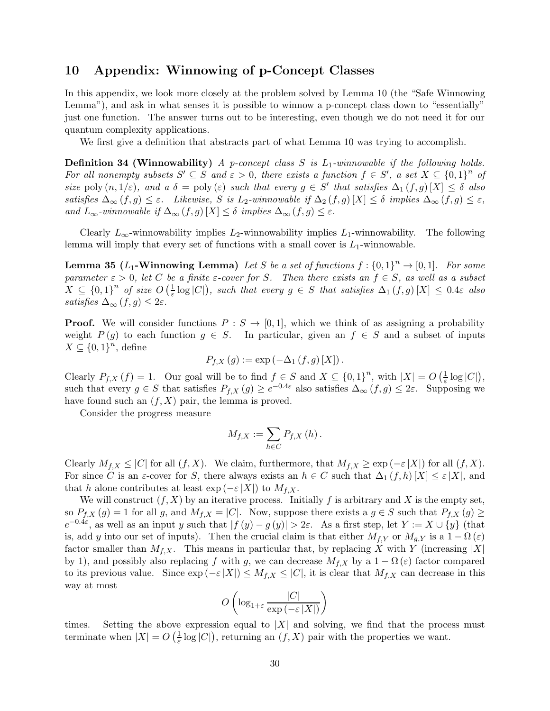# 10 Appendix: Winnowing of p-Concept Classes

In this appendix, we look more closely at the problem solved by Lemma 10 (the "Safe Winnowing Lemma"), and ask in what senses it is possible to winnow a p-concept class down to "essentially" just one function. The answer turns out to be interesting, even though we do not need it for our quantum complexity applications.

We first give a definition that abstracts part of what Lemma 10 was trying to accomplish.

**Definition 34 (Winnowability)** A p-concept class S is  $L_1$ -winnowable if the following holds. For all nonempty subsets  $S' \subseteq S$  and  $\varepsilon > 0$ , there exists a function  $f \in S'$ , a set  $X \subseteq \{0,1\}^n$  of size poly  $(n, 1/\varepsilon)$ , and  $a \delta = \text{poly}(\varepsilon)$  such that every  $g \in S'$  that satisfies  $\Delta_1(f, g)[X] \leq \delta$  also satisfies  $\Delta_{\infty}(f,g) \leq \varepsilon$ . Likewise, S is L<sub>2</sub>-winnowable if  $\Delta_2(f,g)[X] \leq \delta$  implies  $\Delta_{\infty}(f,g) \leq \varepsilon$ , and  $L_{\infty}$ -winnowable if  $\Delta_{\infty}(f,g)[X] \leq \delta$  implies  $\Delta_{\infty}(f,g) \leq \varepsilon$ .

Clearly  $L_{\infty}$ -winnowability implies  $L_2$ -winnowability implies  $L_1$ -winnowability. The following lemma will imply that every set of functions with a small cover is  $L_1$ -winnowable.

**Lemma 35** (L<sub>1</sub>-Winnowing Lemma) Let S be a set of functions  $f : \{0,1\}^n \to [0,1]$ . For some parameter  $\varepsilon > 0$ , let C be a finite  $\varepsilon$ -cover for S. Then there exists an  $f \in S$ , as well as a subset  $X \subseteq \{0,1\}^n$  of size  $O\left(\frac{1}{\varepsilon} \log |C|\right)$ , such that every  $g \in S$  that satisfies  $\Delta_1(f,g)[X] \leq 0.4\varepsilon$  also satisfies  $\Delta_{\infty}(f,g) \leq 2\varepsilon$ .

**Proof.** We will consider functions  $P : S \to [0,1]$ , which we think of as assigning a probability weight  $P(g)$  to each function  $g \in S$ . In particular, given an  $f \in S$  and a subset of inputs  $X \subseteq \{0,1\}^n$ , define

$$
P_{f,X}(g) := \exp(-\Delta_1(f,g)[X]).
$$

Clearly  $P_{f,X}(f) = 1$ . Our goal will be to find  $f \in S$  and  $X \subseteq \{0,1\}^n$ , with  $|X| = O\left(\frac{1}{\varepsilon} \log |C|\right)$ , such that every  $g \in S$  that satisfies  $P_{f,X}(g) \geq e^{-0.4\varepsilon}$  also satisfies  $\Delta_{\infty}(f,g) \leq 2\varepsilon$ . Supposing we have found such an  $(f, X)$  pair, the lemma is proved.

Consider the progress measure

$$
M_{f,X}:=\sum_{h\in C}P_{f,X}\left(h\right).
$$

Clearly  $M_{f,X} \leq |C|$  for all  $(f,X)$ . We claim, furthermore, that  $M_{f,X} \geq \exp(-\varepsilon |X|)$  for all  $(f,X)$ . For since C is an  $\varepsilon$ -cover for S, there always exists an  $h \in C$  such that  $\Delta_1(f, h)[X] \leq \varepsilon |X|$ , and that h alone contributes at least  $\exp(-\varepsilon |X|)$  to  $M_{f,X}$ .

We will construct  $(f, X)$  by an iterative process. Initially f is arbitrary and X is the empty set, so  $P_{f,X}(g) = 1$  for all g, and  $M_{f,X} = |C|$ . Now, suppose there exists a  $g \in S$  such that  $P_{f,X}(g) \ge$  $e^{-0.4\varepsilon}$ , as well as an input y such that  $|f(y) - g(y)| > 2\varepsilon$ . As a first step, let  $Y := X \cup \{y\}$  (that is, add y into our set of inputs). Then the crucial claim is that either  $M_{f,Y}$  or  $M_{q,Y}$  is a  $1 - \Omega(\varepsilon)$ factor smaller than  $M_{f,X}$ . This means in particular that, by replacing X with Y (increasing |X| by 1), and possibly also replacing f with g, we can decrease  $M_{f,X}$  by a  $1 - \Omega(\varepsilon)$  factor compared to its previous value. Since  $\exp(-\varepsilon |X|) \leq M_{f,X} \leq |C|$ , it is clear that  $M_{f,X}$  can decrease in this way at most

$$
O\left(\log_{1+\varepsilon}\frac{|C|}{\exp\left(-\varepsilon\left|X\right|\right)}\right)
$$

times. Setting the above expression equal to  $|X|$  and solving, we find that the process must terminate when  $|X| = O\left(\frac{1}{\varepsilon} \log |C|\right)$ , returning an  $(f, X)$  pair with the properties we want.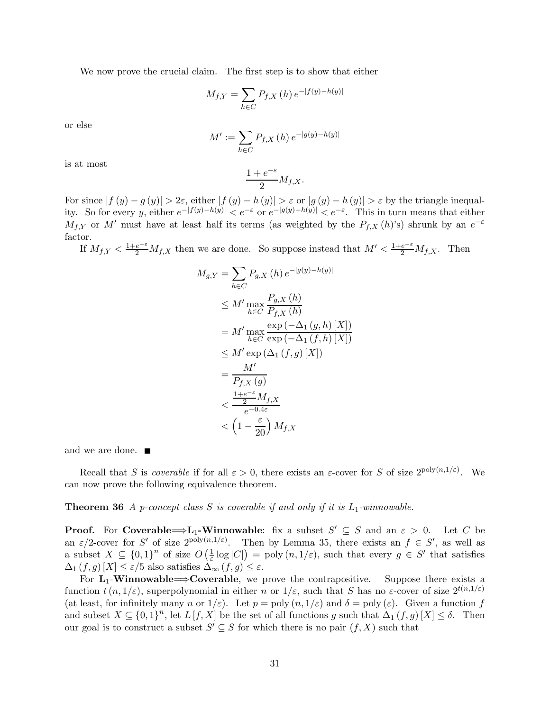We now prove the crucial claim. The first step is to show that either

$$
M_{f,Y} = \sum_{h \in C} P_{f,X}(h) e^{-|f(y) - h(y)|}
$$

or else

$$
M' := \sum_{h \in C} P_{f,X}(h) \, e^{-|g(y) - h(y)|}
$$

is at most

$$
\frac{1+e^{-\varepsilon}}{2}M_{f,X}.
$$

For since  $|f(y) - g(y)| > 2\varepsilon$ , either  $|f(y) - h(y)| > \varepsilon$  or  $|g(y) - h(y)| > \varepsilon$  by the triangle inequality. So for every y, either  $e^{-|f(y)-h(y)|} < e^{-\varepsilon}$  or  $e^{-|g(y)-h(y)|} < e^{-\varepsilon}$ . This in turn means that either  $M_{f,Y}$  or M' must have at least half its terms (as weighted by the  $P_{f,X}(h)$ 's) shrunk by an  $e^{-\varepsilon}$ factor.

If  $M_{f,Y} < \frac{1+e^{-\varepsilon}}{2} M_{f,X}$  then we are done. So suppose instead that  $M' < \frac{1+e^{-\varepsilon}}{2} M_{f,X}$ . Then

$$
M_{g,Y} = \sum_{h \in C} P_{g,X}(h) e^{-|g(y) - h(y)|}
$$
  
\n
$$
\leq M' \max_{h \in C} \frac{P_{g,X}(h)}{P_{f,X}(h)}
$$
  
\n
$$
= M' \max_{h \in C} \frac{\exp(-\Delta_1(g, h)[X])}{\exp(-\Delta_1(f, h)[X])}
$$
  
\n
$$
\leq M' \exp(\Delta_1(f, g)[X])
$$
  
\n
$$
= \frac{M'}{P_{f,X}(g)}
$$
  
\n
$$
< \frac{\frac{1 + e^{-\epsilon}}{2} M_{f,X}}{e^{-0.4\epsilon}}
$$
  
\n
$$
< (1 - \frac{\epsilon}{20}) M_{f,X}
$$

and we are done.

Recall that S is *coverable* if for all  $\varepsilon > 0$ , there exists an  $\varepsilon$ -cover for S of size  $2^{poly(n,1/\varepsilon)}$ . We can now prove the following equivalence theorem.

**Theorem 36** A p-concept class S is coverable if and only if it is  $L_1$ -winnowable.

**Proof.** For Coverable  $\Rightarrow$  L<sub>1</sub>-Winnowable: fix a subset  $S' \subseteq S$  and an  $\varepsilon > 0$ . Let C be an  $\varepsilon/2$ -cover for S' of size  $2^{\text{poly}(n,1/\varepsilon)}$ . Then by Lemma 35, there exists an  $f \in S'$ , as well as a subset  $X \subseteq \{0,1\}^n$  of size  $O\left(\frac{1}{\varepsilon} \log |C|\right) = \text{poly}(n,1/\varepsilon)$ , such that every  $g \in S'$  that satisfies  $\Delta_1(f,g)[X] \leq \varepsilon/5$  also satisfies  $\Delta_{\infty}(f,g) \leq \varepsilon$ .

For  $L_1$ -Winnowable $\Longrightarrow$ Coverable, we prove the contrapositive. Suppose there exists a function  $t(n, 1/\varepsilon)$ , superpolynomial in either n or  $1/\varepsilon$ , such that S has no  $\varepsilon$ -cover of size  $2^{t(n,1/\varepsilon)}$ (at least, for infinitely many n or  $1/\varepsilon$ ). Let  $p = \text{poly}(n, 1/\varepsilon)$  and  $\delta = \text{poly}(\varepsilon)$ . Given a function f and subset  $X \subseteq \{0,1\}^n$ , let  $L[f,X]$  be the set of all functions g such that  $\Delta_1(f,g)[X] \leq \delta$ . Then our goal is to construct a subset  $S' \subseteq S$  for which there is no pair  $(f, X)$  such that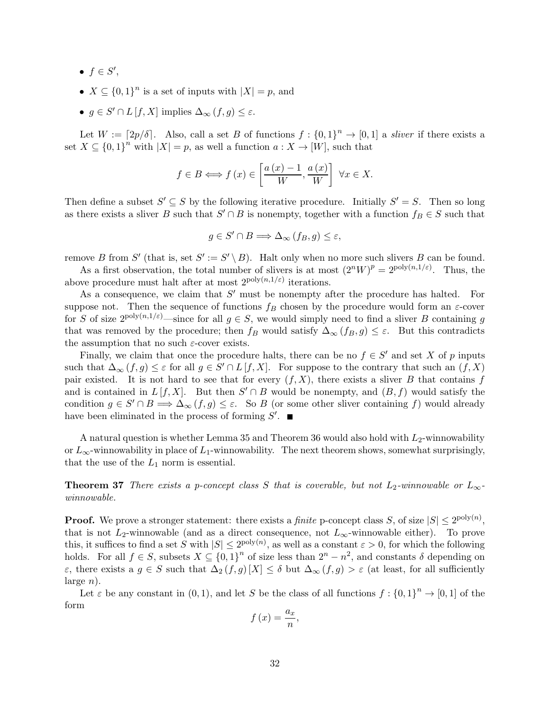- $\bullet$   $f \in S',$
- $X \subseteq \{0,1\}^n$  is a set of inputs with  $|X| = p$ , and
- $g \in S' \cap L[f, X]$  implies  $\Delta_{\infty}(f, g) \leq \varepsilon$ .

Let  $W := [2p/\delta]$ . Also, call a set B of functions  $f : \{0,1\}^n \to [0,1]$  a sliver if there exists a set  $X \subseteq \{0,1\}^n$  with  $|X| = p$ , as well a function  $a: X \to [W]$ , such that

$$
f \in B \Longleftrightarrow f(x) \in \left[\frac{a(x) - 1}{W}, \frac{a(x)}{W}\right] \forall x \in X.
$$

Then define a subset  $S' \subseteq S$  by the following iterative procedure. Initially  $S' = S$ . Then so long as there exists a sliver B such that  $S' \cap B$  is nonempty, together with a function  $f_B \in S$  such that

$$
g \in S' \cap B \Longrightarrow \Delta_{\infty} (f_B, g) \le \varepsilon,
$$

remove B from S' (that is, set  $S' := S' \setminus B$ ). Halt only when no more such slivers B can be found.

As a first observation, the total number of slivers is at most  $(2^nW)^p = 2^{\text{poly}(n,1/\varepsilon)}$ . Thus, the above procedure must halt after at most  $2^{poly(n,1/\varepsilon)}$  iterations.

As a consequence, we claim that  $S'$  must be nonempty after the procedure has halted. For suppose not. Then the sequence of functions  $f_B$  chosen by the procedure would form an  $\varepsilon$ -cover for S of size  $2^{\text{poly}(n,1/\varepsilon)}$ —since for all  $g \in S$ , we would simply need to find a sliver B containing g that was removed by the procedure; then  $f_B$  would satisfy  $\Delta_{\infty} (f_B, g) \leq \varepsilon$ . But this contradicts the assumption that no such  $\varepsilon$ -cover exists.

Finally, we claim that once the procedure halts, there can be no  $f \in S'$  and set X of p inputs such that  $\Delta_{\infty}(f,g) \leq \varepsilon$  for all  $g \in S' \cap L[f,X]$ . For suppose to the contrary that such an  $(f,X)$ pair existed. It is not hard to see that for every  $(f, X)$ , there exists a sliver B that contains f and is contained in  $L[f, X]$ . But then  $S' \cap B$  would be nonempty, and  $(B, f)$  would satisfy the condition  $g \in S' \cap B \Longrightarrow \Delta_{\infty}(f,g) \leq \varepsilon$ . So B (or some other sliver containing f) would already have been eliminated in the process of forming  $S'$ .

A natural question is whether Lemma 35 and Theorem 36 would also hold with  $L_2$ -winnowability or  $L_{\infty}$ -winnowability in place of  $L_1$ -winnowability. The next theorem shows, somewhat surprisingly, that the use of the  $L_1$  norm is essential.

**Theorem 37** There exists a p-concept class S that is coverable, but not  $L_2$ -winnowable or  $L_{\infty}$ winnowable.

**Proof.** We prove a stronger statement: there exists a *finite* p-concept class S, of size  $|S| \le 2^{\text{poly}(n)}$ , that is not  $L_2$ -winnowable (and as a direct consequence, not  $L_\infty$ -winnowable either). To prove this, it suffices to find a set S with  $|S| \leq 2^{\text{poly}(n)}$ , as well as a constant  $\varepsilon > 0$ , for which the following holds. For all  $f \in S$ , subsets  $X \subseteq \{0,1\}^n$  of size less than  $2^n - n^2$ , and constants  $\delta$  depending on  $\varepsilon$ , there exists a  $g \in S$  such that  $\Delta_2(f,g)[X] \leq \delta$  but  $\Delta_\infty(f,g) > \varepsilon$  (at least, for all sufficiently  $large n$ ).

Let  $\varepsilon$  be any constant in  $(0, 1)$ , and let S be the class of all functions  $f: \{0, 1\}^n \to [0, 1]$  of the form

$$
f\left(x\right) = \frac{a_x}{n},
$$